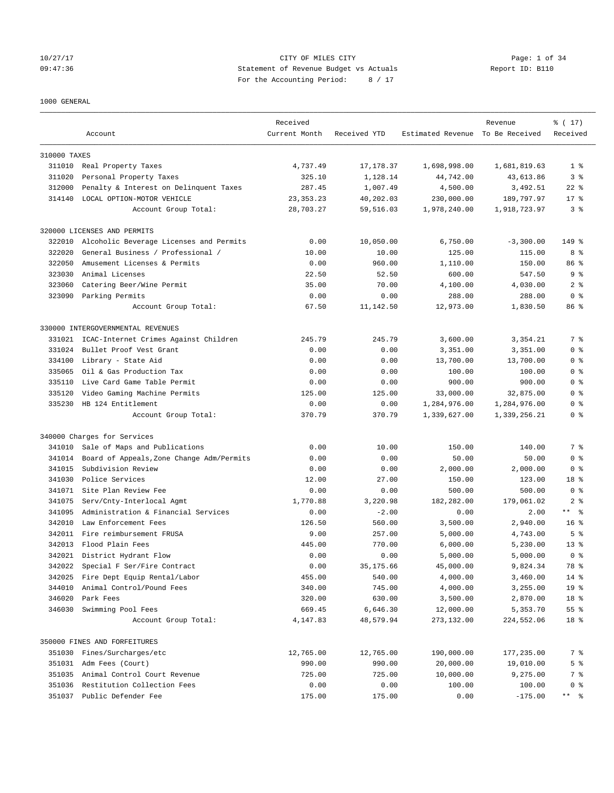## 10/27/17 CITY OF MILES CITY Page: 1 of 34 09:47:36 Statement of Revenue Budget vs Actuals Report ID: B110 For the Accounting Period: 8 / 17

### 1000 GENERAL

|              | Account                                   | Received<br>Current Month | Received YTD | Estimated Revenue To Be Received | Revenue      | % (17)<br>Received      |
|--------------|-------------------------------------------|---------------------------|--------------|----------------------------------|--------------|-------------------------|
|              |                                           |                           |              |                                  |              |                         |
| 310000 TAXES |                                           |                           |              |                                  |              |                         |
|              | 311010 Real Property Taxes                | 4,737.49                  | 17,178.37    | 1,698,998.00                     | 1,681,819.63 | 1 <sup>8</sup>          |
| 311020       | Personal Property Taxes                   | 325.10                    | 1,128.14     | 44,742.00                        | 43,613.86    | 3 <sup>8</sup>          |
| 312000       | Penalty & Interest on Delinquent Taxes    | 287.45                    | 1,007.49     | 4,500.00                         | 3,492.51     | $22$ %                  |
| 314140       | LOCAL OPTION-MOTOR VEHICLE                | 23, 353. 23               | 40,202.03    | 230,000.00                       | 189,797.97   | $17*$                   |
|              | Account Group Total:                      | 28,703.27                 | 59,516.03    | 1,978,240.00                     | 1,918,723.97 | 3%                      |
|              | 320000 LICENSES AND PERMITS               |                           |              |                                  |              |                         |
| 322010       | Alcoholic Beverage Licenses and Permits   | 0.00                      | 10,050.00    | 6,750.00                         | $-3,300.00$  | 149 %                   |
| 322020       | General Business / Professional /         | 10.00                     | 10.00        | 125.00                           | 115.00       | 8%                      |
| 322050       | Amusement Licenses & Permits              | 0.00                      | 960.00       | 1,110.00                         | 150.00       | 86 %                    |
| 323030       | Animal Licenses                           | 22.50                     | 52.50        | 600.00                           | 547.50       | 9 <sub>8</sub>          |
| 323060       | Catering Beer/Wine Permit                 | 35.00                     | 70.00        | 4,100.00                         | 4,030.00     | 2 <sub>8</sub>          |
| 323090       | Parking Permits                           | 0.00                      | 0.00         | 288.00                           | 288.00       | 0 <sup>8</sup>          |
|              | Account Group Total:                      | 67.50                     | 11,142.50    | 12,973.00                        | 1,830.50     | 86 %                    |
|              | 330000 INTERGOVERNMENTAL REVENUES         |                           |              |                                  |              |                         |
| 331021       | ICAC-Internet Crimes Against Children     | 245.79                    | 245.79       | 3,600.00                         | 3,354.21     | 7 %                     |
| 331024       | Bullet Proof Vest Grant                   | 0.00                      | 0.00         | 3,351.00                         | 3,351.00     | 0 <sup>8</sup>          |
| 334100       | Library - State Aid                       | 0.00                      | 0.00         | 13,700.00                        | 13,700.00    | 0 <sup>8</sup>          |
| 335065       | Oil & Gas Production Tax                  | 0.00                      | 0.00         | 100.00                           | 100.00       | 0 <sup>8</sup>          |
| 335110       | Live Card Game Table Permit               | 0.00                      | 0.00         | 900.00                           | 900.00       | 0 <sup>8</sup>          |
| 335120       | Video Gaming Machine Permits              | 125.00                    | 125.00       | 33,000.00                        | 32,875.00    | 0 <sup>8</sup>          |
| 335230       | HB 124 Entitlement                        | 0.00                      | 0.00         | 1,284,976.00                     | 1,284,976.00 | 0 <sup>8</sup>          |
|              | Account Group Total:                      | 370.79                    | 370.79       | 1,339,627.00                     | 1,339,256.21 | 0 <sup>8</sup>          |
|              | 340000 Charges for Services               |                           |              |                                  |              |                         |
| 341010       | Sale of Maps and Publications             | 0.00                      | 10.00        | 150.00                           | 140.00       | 7 %                     |
| 341014       | Board of Appeals, Zone Change Adm/Permits | 0.00                      | 0.00         | 50.00                            | 50.00        | 0 <sup>8</sup>          |
| 341015       | Subdivision Review                        | 0.00                      | 0.00         | 2,000.00                         | 2,000.00     | 0 <sup>8</sup>          |
| 341030       | Police Services                           | 12.00                     | 27.00        | 150.00                           | 123.00       | 18 <sup>°</sup>         |
| 341071       | Site Plan Review Fee                      | 0.00                      | 0.00         | 500.00                           | 500.00       | 0 <sup>8</sup>          |
| 341075       | Serv/Cnty-Interlocal Agmt                 | 1,770.88                  | 3,220.98     | 182,282.00                       | 179,061.02   | 2 <sub>8</sub>          |
| 341095       | Administration & Financial Services       | 0.00                      | $-2.00$      | 0.00                             | 2.00         | $***$ $=$ $\frac{6}{5}$ |
| 342010       | Law Enforcement Fees                      | 126.50                    | 560.00       | 3,500.00                         | 2,940.00     | 16 <sup>8</sup>         |
|              | 342011 Fire reimbursement FRUSA           | 9.00                      | 257.00       | 5,000.00                         | 4,743.00     | 5 <sup>8</sup>          |
| 342013       | Flood Plain Fees                          | 445.00                    | 770.00       | 6,000.00                         | 5,230.00     | $13*$                   |
|              | 342021 District Hydrant Flow              | 0.00                      | 0.00         | 5,000.00                         | 5.000.00     | 0 <sup>8</sup>          |
| 342022       | Special F Ser/Fire Contract               | 0.00                      | 35,175.66    | 45,000.00                        | 9,824.34     | 78 %                    |
| 342025       | Fire Dept Equip Rental/Labor              | 455.00                    | 540.00       | 4,000.00                         | 3,460.00     | 14 %                    |
| 344010       | Animal Control/Pound Fees                 | 340.00                    | 745.00       | 4,000.00                         | 3,255.00     | 19 <sup>°</sup>         |
| 346020       | Park Fees                                 | 320.00                    | 630.00       | 3,500.00                         | 2,870.00     | 18 %                    |
| 346030       | Swimming Pool Fees                        | 669.45                    | 6,646.30     | 12,000.00                        | 5,353.70     | 55 %                    |
|              | Account Group Total:                      | 4,147.83                  | 48,579.94    | 273,132.00                       | 224,552.06   | 18 %                    |
|              | 350000 FINES AND FORFEITURES              |                           |              |                                  |              |                         |
| 351030       | Fines/Surcharges/etc                      | 12,765.00                 | 12,765.00    | 190,000.00                       | 177,235.00   | 7 %                     |
|              | 351031 Adm Fees (Court)                   | 990.00                    | 990.00       | 20,000.00                        | 19,010.00    | 5 <sup>°</sup>          |
| 351035       | Animal Control Court Revenue              | 725.00                    | 725.00       | 10,000.00                        | 9,275.00     | 7 %                     |
| 351036       | Restitution Collection Fees               | 0.00                      | 0.00         | 100.00                           | 100.00       | 0 <sup>8</sup>          |
|              | 351037 Public Defender Fee                | 175.00                    | 175.00       | 0.00                             | $-175.00$    |                         |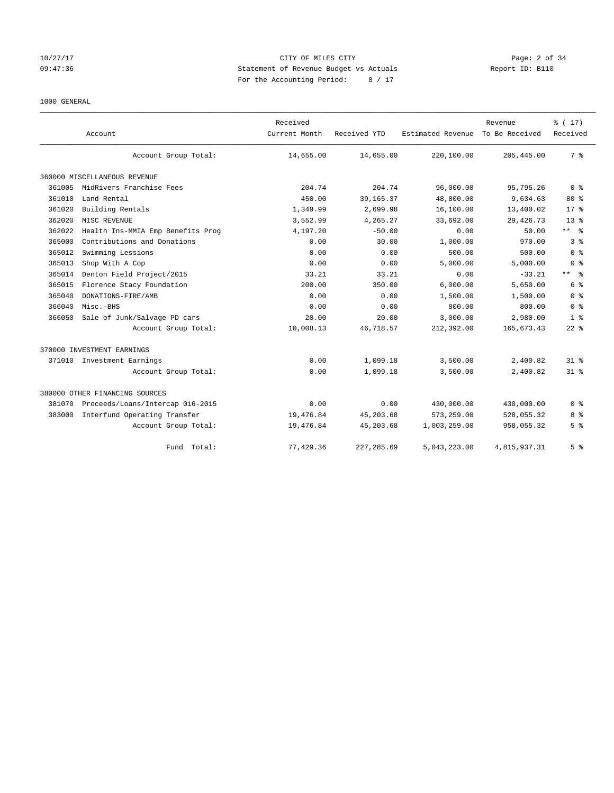## 10/27/17 CITY OF MILES CITY Page: 2 of 34 09:47:36 Statement of Revenue Budget vs Actuals Report ID: B110 For the Accounting Period: 8 / 17

### 1000 GENERAL

|        | Account                           | Received<br>Current Month | Received YTD | Estimated Revenue | Revenue<br>To Be Received | $\frac{1}{6}$ (17)<br>Received |
|--------|-----------------------------------|---------------------------|--------------|-------------------|---------------------------|--------------------------------|
|        | Account Group Total:              | 14,655.00                 | 14,655.00    | 220,100.00        | 205, 445.00               | 7 <sup>8</sup>                 |
|        | 360000 MISCELLANEOUS REVENUE      |                           |              |                   |                           |                                |
| 361005 | MidRivers Franchise Fees          | 204.74                    | 204.74       | 96,000.00         | 95,795.26                 | 0 <sup>8</sup>                 |
| 361010 | Land Rental                       | 450.00                    | 39, 165. 37  | 48,800.00         | 9,634.63                  | $80*$                          |
| 361020 | Building Rentals                  | 1,349.99                  | 2,699.98     | 16,100.00         | 13,400.02                 | $17*$                          |
| 362020 | MISC REVENUE                      | 3,552.99                  | 4,265.27     | 33,692.00         | 29, 426.73                | 13 <sup>8</sup>                |
| 362022 | Health Ins-MMIA Emp Benefits Prog | 4,197.20                  | $-50.00$     | 0.00              | 50.00                     | ** %                           |
| 365000 | Contributions and Donations       | 0.00                      | 30.00        | 1,000.00          | 970.00                    | 3%                             |
| 365012 | Swimming Lessions                 | 0.00                      | 0.00         | 500.00            | 500.00                    | 0 <sup>8</sup>                 |
| 365013 | Shop With A Cop                   | 0.00                      | 0.00         | 5,000.00          | 5,000.00                  | 0 <sup>8</sup>                 |
| 365014 | Denton Field Project/2015         | 33.21                     | 33.21        | 0.00              | $-33.21$                  | $***$ $=$ $\frac{6}{5}$        |
| 365015 | Florence Stacy Foundation         | 200.00                    | 350.00       | 6,000.00          | 5,650.00                  | 6 <sup>8</sup>                 |
| 365040 | DONATIONS-FIRE/AMB                | 0.00                      | 0.00         | 1,500.00          | 1,500.00                  | 0 <sup>8</sup>                 |
| 366040 | Misc.-BHS                         | 0.00                      | 0.00         | 800.00            | 800.00                    | 0 <sup>8</sup>                 |
| 366050 | Sale of Junk/Salvage-PD cars      | 20.00                     | 20.00        | 3,000.00          | 2,980.00                  | 1 <sup>8</sup>                 |
|        | Account Group Total:              | 10,008.13                 | 46,718.57    | 212,392.00        | 165,673.43                | $22$ $%$                       |
|        | 370000 INVESTMENT EARNINGS        |                           |              |                   |                           |                                |
|        | 371010 Investment Earnings        | 0.00                      | 1,099.18     | 3,500.00          | 2,400.82                  | 31.8                           |
|        | Account Group Total:              | 0.00                      | 1,099.18     | 3,500.00          | 2,400.82                  | 31.8                           |
|        | 380000 OTHER FINANCING SOURCES    |                           |              |                   |                           |                                |
| 381070 | Proceeds/Loans/Intercap 016-2015  | 0.00                      | 0.00         | 430,000.00        | 430,000.00                | 0 <sup>8</sup>                 |
| 383000 | Interfund Operating Transfer      | 19,476.84                 | 45,203.68    | 573,259.00        | 528,055.32                | 8 %                            |
|        | Account Group Total:              | 19,476.84                 | 45, 203.68   | 1,003,259.00      | 958,055.32                | 5 <sup>°</sup>                 |
|        | Fund<br>Total:                    | 77,429.36                 | 227, 285.69  | 5.043.223.00      | 4,815,937.31              | 5 %                            |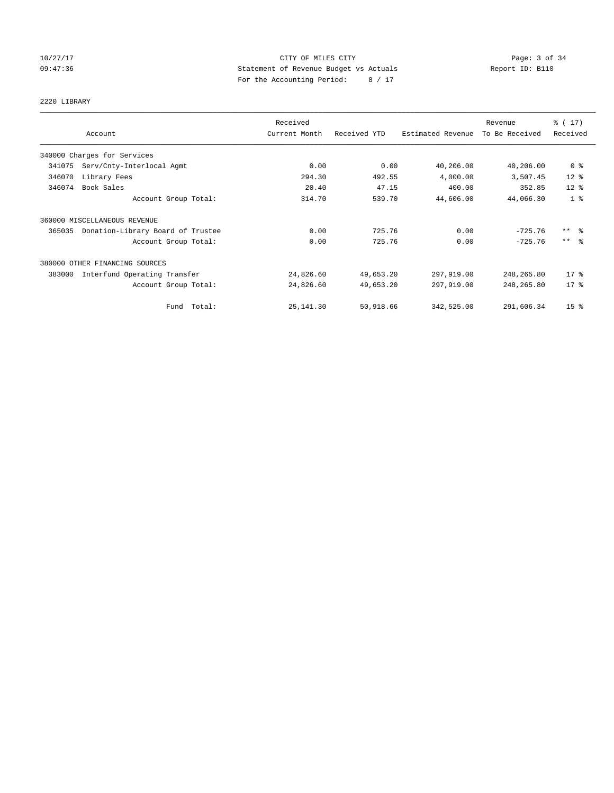## 10/27/17 CITY OF MILES CITY Page: 3 of 34 09:47:36 Statement of Revenue Budget vs Actuals Report ID: B110 For the Accounting Period: 8 / 17

# 2220 LIBRARY

|        | Account                           | Received<br>Current Month | Received YTD | Estimated Revenue | Revenue<br>To Be Received | $\frac{1}{2}$ (17)<br>Received |
|--------|-----------------------------------|---------------------------|--------------|-------------------|---------------------------|--------------------------------|
|        |                                   |                           |              |                   |                           |                                |
|        | 340000 Charges for Services       |                           |              |                   |                           |                                |
| 341075 | Serv/Cnty-Interlocal Agmt         | 0.00                      | 0.00         | 40,206.00         | 40,206.00                 | 0 <sup>8</sup>                 |
| 346070 | Library Fees                      | 294.30                    | 492.55       | 4,000.00          | 3,507.45                  | $12*$                          |
| 346074 | Book Sales                        | 20.40                     | 47.15        | 400.00            | 352.85                    | $12*$                          |
|        | Account Group Total:              | 314.70                    | 539.70       | 44,606.00         | 44,066.30                 | 1 <sup>8</sup>                 |
|        | 360000 MISCELLANEOUS REVENUE      |                           |              |                   |                           |                                |
| 365035 | Donation-Library Board of Trustee | 0.00                      | 725.76       | 0.00              | $-725.76$                 | $***$ $\frac{6}{6}$            |
|        | Account Group Total:              | 0.00                      | 725.76       | 0.00              | $-725.76$                 | $***$ $\frac{6}{5}$            |
|        | 380000 OTHER FINANCING SOURCES    |                           |              |                   |                           |                                |
| 383000 | Interfund Operating Transfer      | 24,826.60                 | 49,653.20    | 297,919.00        | 248,265.80                | $17$ %                         |
|        | Account Group Total:              | 24,826.60                 | 49,653.20    | 297,919.00        | 248,265.80                | $17$ %                         |
|        | Fund Total:                       | 25, 141.30                | 50,918.66    | 342,525.00        | 291,606.34                | 15 <sup>8</sup>                |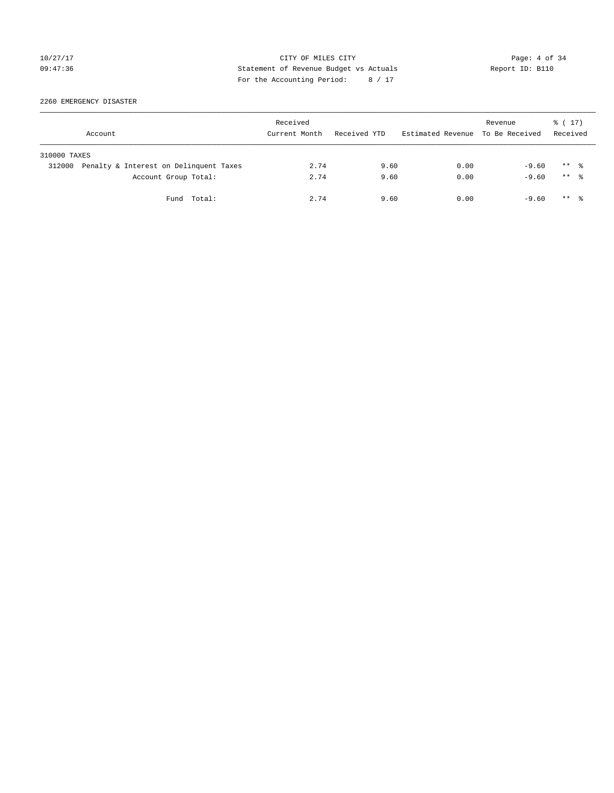## 10/27/17 CITY OF MILES CITY Page: 4 of 34 09:47:36 Statement of Revenue Budget vs Actuals Report ID: B110 For the Accounting Period: 8 / 17

2260 EMERGENCY DISASTER

|              | Account                                | Received<br>Current Month | Received YTD | Estimated Revenue To Be Received | Revenue | $\frac{1}{6}$ ( 17 )<br>Received |  |
|--------------|----------------------------------------|---------------------------|--------------|----------------------------------|---------|----------------------------------|--|
| 310000 TAXES |                                        |                           |              |                                  |         |                                  |  |
| 312000       | Penalty & Interest on Delinquent Taxes | 2.74                      | 9.60         | 0.00                             | $-9.60$ | $***$ %                          |  |
|              | Account Group Total:                   | 2.74                      | 9.60         | 0.00                             | $-9.60$ | $***$ $\frac{6}{10}$             |  |
|              | Fund Total:                            | 2.74                      | 9.60         | 0.00                             | $-9.60$ | $***$ $\frac{6}{10}$             |  |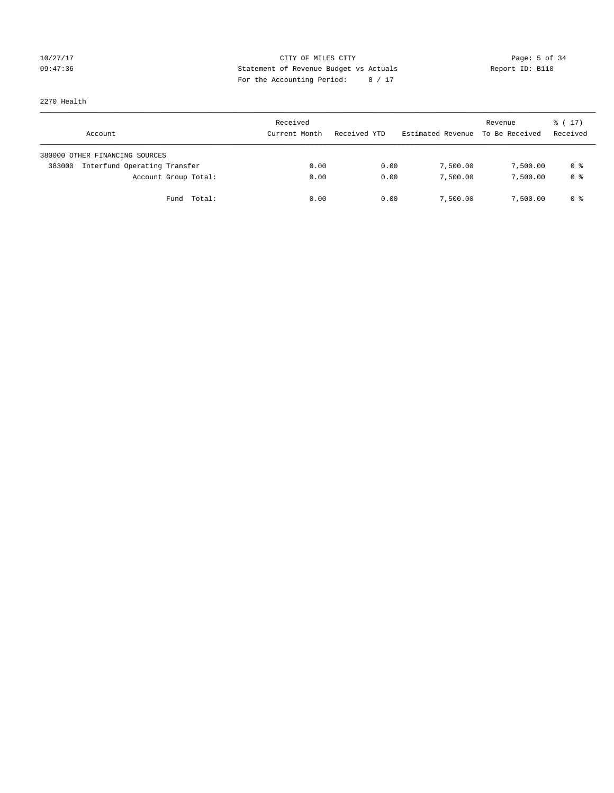## 10/27/17 CITY OF MILES CITY Page: 5 of 34 09:47:36 Statement of Revenue Budget vs Actuals Report ID: B110 For the Accounting Period: 8 / 17

2270 Health

| Account                                | Received<br>Current Month | Received YTD | Estimated Revenue | Revenue<br>To Be Received | $\frac{1}{6}$ ( 17)<br>Received |
|----------------------------------------|---------------------------|--------------|-------------------|---------------------------|---------------------------------|
| 380000 OTHER FINANCING SOURCES         |                           |              |                   |                           |                                 |
| Interfund Operating Transfer<br>383000 | 0.00                      | 0.00         | 7,500.00          | 7,500.00                  | 0 %                             |
| Account Group Total:                   | 0.00                      | 0.00         | 7,500.00          | 7,500.00                  | 0 %                             |
| Fund Total:                            | 0.00                      | 0.00         | 7,500.00          | 7,500.00                  | 0 %                             |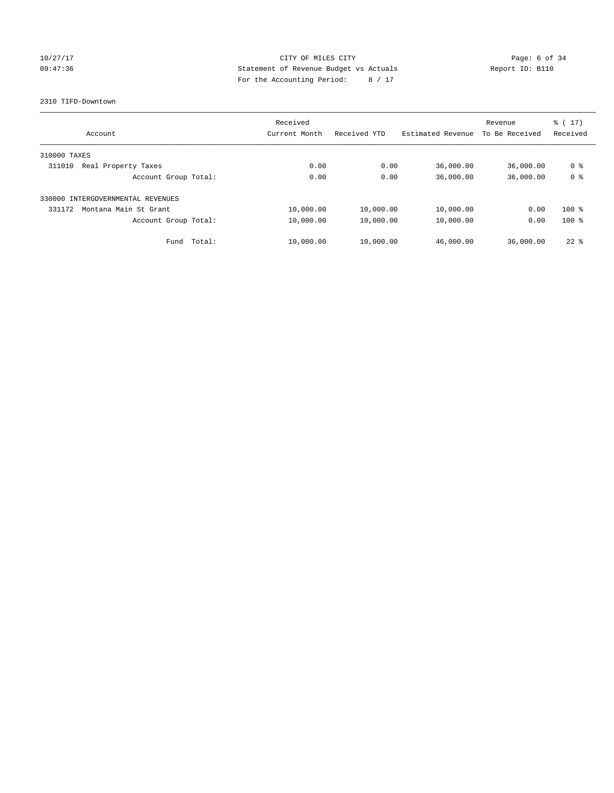## 10/27/17 CITY OF MILES CITY Page: 6 of 34 09:47:36 Statement of Revenue Budget vs Actuals Report ID: B110 For the Accounting Period: 8 / 17

### 2310 TIFD-Downtown

| Account                              | Received<br>Current Month | Received YTD | Estimated Revenue | Revenue<br>To Be Received | $\frac{1}{6}$ (17)<br>Received |
|--------------------------------------|---------------------------|--------------|-------------------|---------------------------|--------------------------------|
|                                      |                           |              |                   |                           |                                |
| 310000 TAXES                         |                           |              |                   |                           |                                |
| 311010<br>Real Property Taxes        | 0.00                      | 0.00         | 36,000.00         | 36,000.00                 | 0 <sup>8</sup>                 |
| Account Group Total:                 | 0.00                      | 0.00         | 36,000.00         | 36,000.00                 | 0 <sup>8</sup>                 |
| INTERGOVERNMENTAL REVENUES<br>330000 |                           |              |                   |                           |                                |
| 331172<br>Montana Main St Grant      | 10,000.00                 | 10,000.00    | 10,000.00         | 0.00                      | $100*$                         |
| Account Group Total:                 | 10,000.00                 | 10,000.00    | 10,000.00         | 0.00                      | $100*$                         |
| Fund Total:                          | 10,000.00                 | 10,000.00    | 46,000.00         | 36,000.00                 | $22$ $%$                       |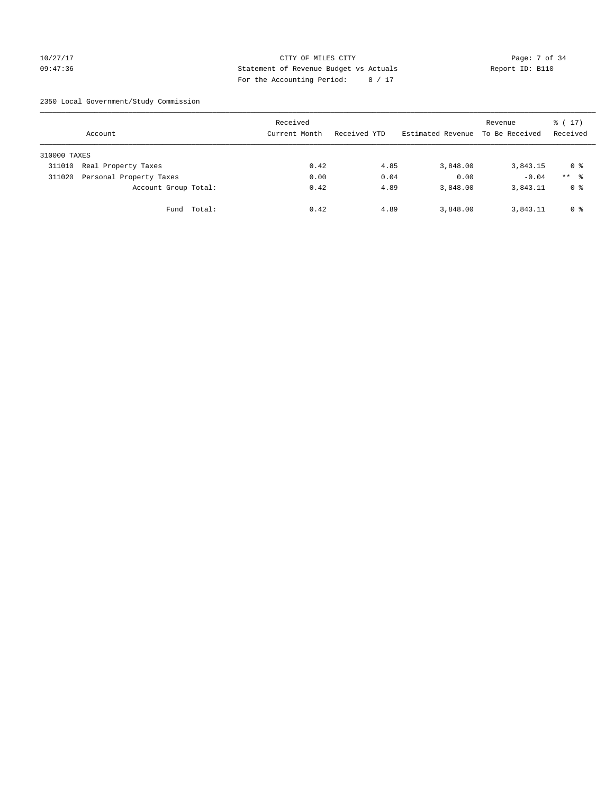## 10/27/17 CITY OF MILES CITY Page: 7 of 34 09:47:36 Statement of Revenue Budget vs Actuals Report ID: B110 For the Accounting Period: 8 / 17

2350 Local Government/Study Commission

|              | Account                 |             | Received<br>Current Month | Received YTD | Estimated Revenue | Revenue<br>To Be Received | $\frac{1}{6}$ ( 17 )<br>Received |
|--------------|-------------------------|-------------|---------------------------|--------------|-------------------|---------------------------|----------------------------------|
| 310000 TAXES |                         |             |                           |              |                   |                           |                                  |
| 311010       | Real Property Taxes     |             | 0.42                      | 4.85         | 3,848.00          | 3,843.15                  | 0 %                              |
| 311020       | Personal Property Taxes |             | 0.00                      | 0.04         | 0.00              | $-0.04$                   | $***$ %                          |
|              | Account Group Total:    |             | 0.42                      | 4.89         | 3,848.00          | 3,843.11                  | 0 %                              |
|              |                         | Fund Total: | 0.42                      | 4.89         | 3,848.00          | 3,843.11                  | 0 %                              |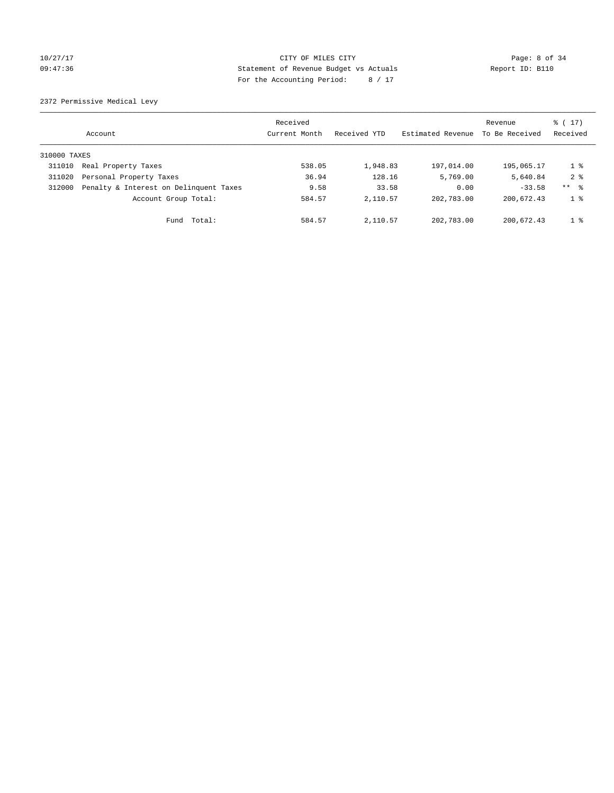## 10/27/17 CITY OF MILES CITY Page: 8 of 34 09:47:36 Statement of Revenue Budget vs Actuals Report ID: B110 For the Accounting Period: 8 / 17

2372 Permissive Medical Levy

|              | Account                                | Received<br>Current Month | Received YTD | Estimated Revenue | Revenue<br>To Be Received | $\frac{1}{6}$ (17)<br>Received |
|--------------|----------------------------------------|---------------------------|--------------|-------------------|---------------------------|--------------------------------|
| 310000 TAXES |                                        |                           |              |                   |                           |                                |
| 311010       | Real Property Taxes                    | 538.05                    | 1,948.83     | 197,014.00        | 195,065.17                | $1 \circ$                      |
| 311020       | Personal Property Taxes                | 36.94                     | 128.16       | 5,769.00          | 5,640.84                  | $2 \div$                       |
| 312000       | Penalty & Interest on Delinquent Taxes | 9.58                      | 33.58        | 0.00              | $-33.58$                  | ** 8                           |
|              | Account Group Total:                   | 584.57                    | 2,110.57     | 202,783.00        | 200,672.43                | 1 <sup>8</sup>                 |
|              | Total:<br>Fund                         | 584.57                    | 2,110.57     | 202,783.00        | 200,672.43                | 1 <sup>8</sup>                 |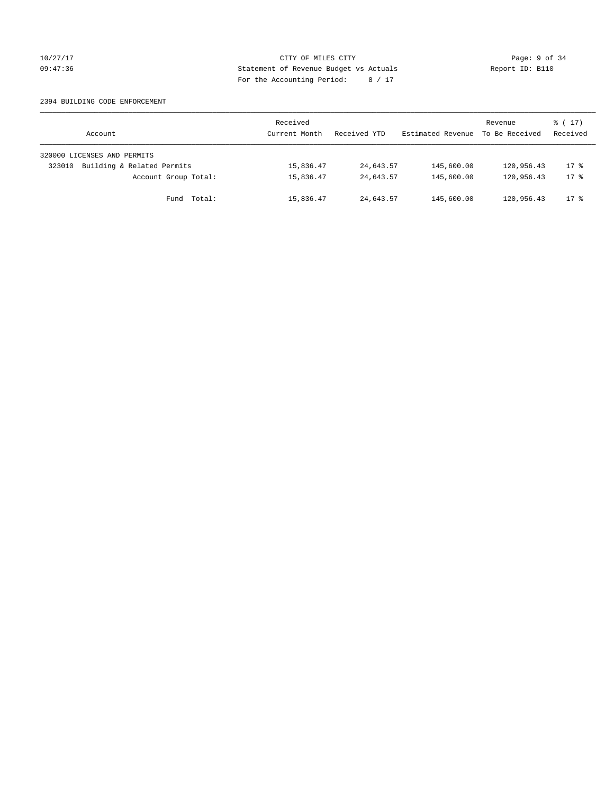## 10/27/17 CITY OF MILES CITY Page: 9 of 34 09:47:36 Statement of Revenue Budget vs Actuals Report ID: B110 For the Accounting Period: 8 / 17

### 2394 BUILDING CODE ENFORCEMENT

| Account                              | Received<br>Current Month | Received YTD | Estimated Revenue | Revenue<br>To Be Received | $\frac{1}{6}$ ( 17 )<br>Received |
|--------------------------------------|---------------------------|--------------|-------------------|---------------------------|----------------------------------|
| 320000 LICENSES AND PERMITS          |                           |              |                   |                           |                                  |
| Building & Related Permits<br>323010 | 15,836.47                 | 24,643.57    | 145,600.00        | 120,956.43                | $17*$                            |
| Account Group Total:                 | 15,836.47                 | 24,643.57    | 145,600.00        | 120,956.43                | $17*$                            |
| Fund Total:                          | 15,836.47                 | 24,643.57    | 145,600.00        | 120,956.43                | $17*$                            |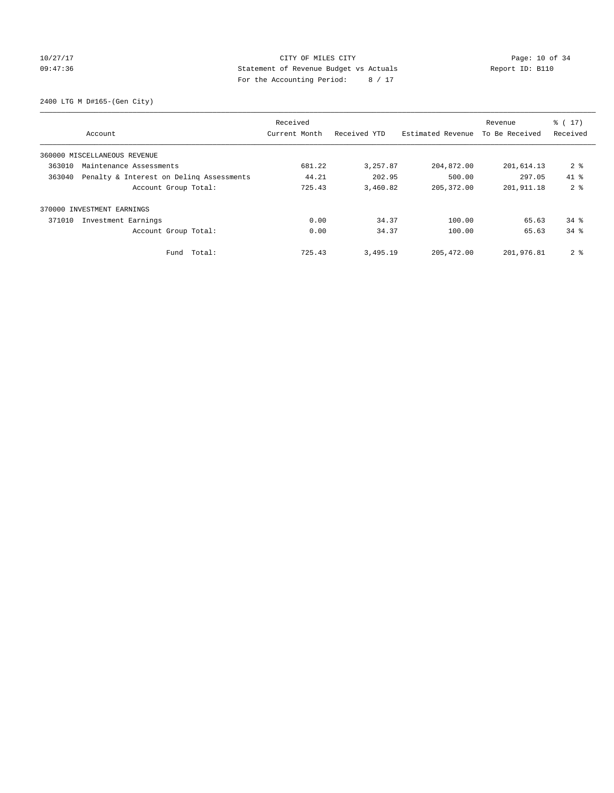## 10/27/17 Page: 10 of 34 09:47:36 Statement of Revenue Budget vs Actuals Report ID: B110 For the Accounting Period: 8 / 17

2400 LTG M D#165-(Gen City)

|        |                                          | Received      |              |                   | Revenue        | $\frac{1}{6}$ ( 17 ) |
|--------|------------------------------------------|---------------|--------------|-------------------|----------------|----------------------|
|        | Account                                  | Current Month | Received YTD | Estimated Revenue | To Be Received | Received             |
|        | 360000 MISCELLANEOUS REVENUE             |               |              |                   |                |                      |
| 363010 | Maintenance Assessments                  | 681.22        | 3,257.87     | 204,872.00        | 201,614.13     | 2 <sub>8</sub>       |
| 363040 | Penalty & Interest on Deling Assessments | 44.21         | 202.95       | 500.00            | 297.05         | $41*$                |
|        | Account Group Total:                     | 725.43        | 3,460.82     | 205, 372.00       | 201,911.18     | 2 <sup>8</sup>       |
|        | 370000 INVESTMENT EARNINGS               |               |              |                   |                |                      |
| 371010 | Investment Earnings                      | 0.00          | 34.37        | 100.00            | 65.63          | $34$ $%$             |
|        | Account Group Total:                     | 0.00          | 34.37        | 100.00            | 65.63          | $34$ $%$             |
|        | Total:<br>Fund                           | 725.43        | 3,495.19     | 205, 472.00       | 201,976.81     | 2 <sub>8</sub>       |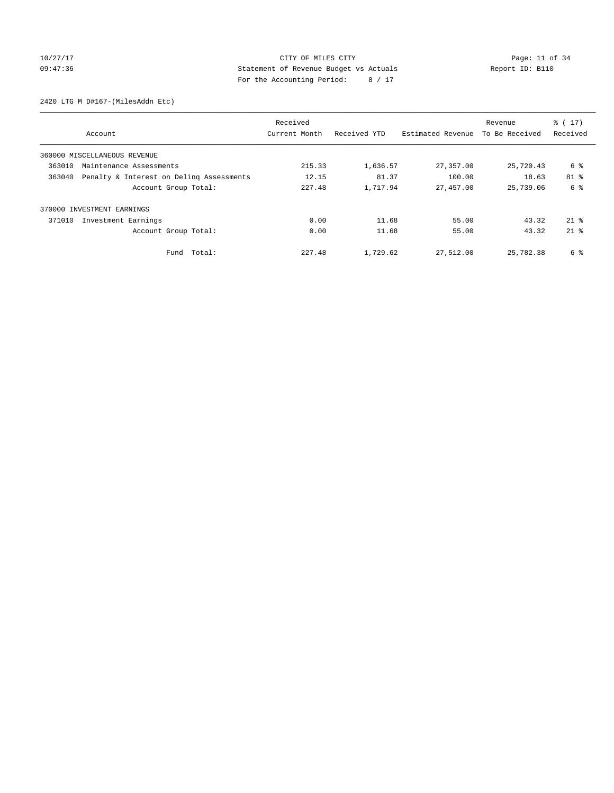## 10/27/17 Page: 11 of 34 09:47:36 Statement of Revenue Budget vs Actuals Report ID: B110 For the Accounting Period: 8 / 17

2420 LTG M D#167-(MilesAddn Etc)

|        |                                          | Received      |              |                   | Revenue        | $\frac{1}{6}$ ( 17 ) |
|--------|------------------------------------------|---------------|--------------|-------------------|----------------|----------------------|
|        | Account                                  | Current Month | Received YTD | Estimated Revenue | To Be Received | Received             |
|        | 360000 MISCELLANEOUS REVENUE             |               |              |                   |                |                      |
| 363010 | Maintenance Assessments                  | 215.33        | 1,636.57     | 27,357.00         | 25,720.43      | 6 %                  |
| 363040 | Penalty & Interest on Deling Assessments | 12.15         | 81.37        | 100.00            | 18.63          | 81 %                 |
|        | Account Group Total:                     | 227.48        | 1,717.94     | 27,457.00         | 25,739.06      | 6 %                  |
|        | 370000 INVESTMENT EARNINGS               |               |              |                   |                |                      |
| 371010 | Investment Earnings                      | 0.00          | 11.68        | 55.00             | 43.32          | $21*$                |
|        | Account Group Total:                     | 0.00          | 11.68        | 55.00             | 43.32          | $21$ $%$             |
|        | Total:<br>Fund                           | 227.48        | 1,729.62     | 27,512.00         | 25,782.38      | 6 %                  |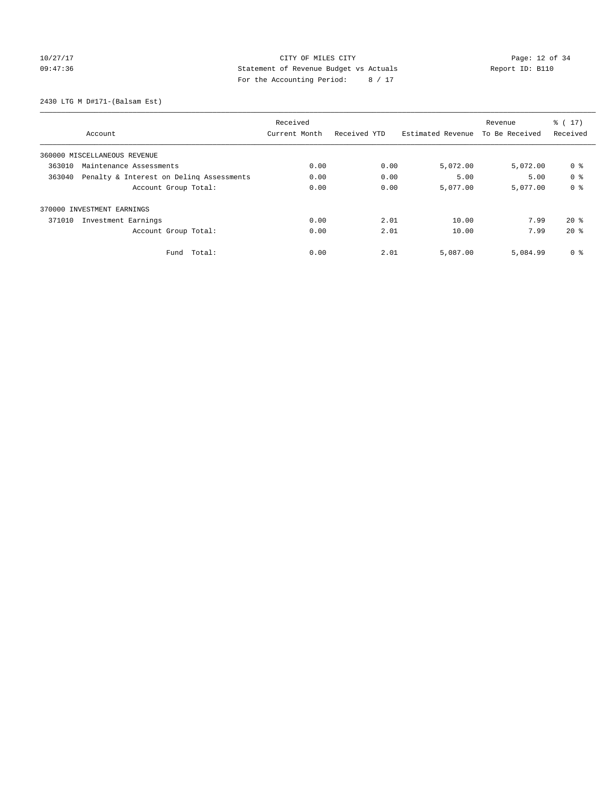10/27/17 Page: 12 of 34 09:47:36 Statement of Revenue Budget vs Actuals Report ID: B110 For the Accounting Period: 8 / 17

2430 LTG M D#171-(Balsam Est)

|        |                                          | Received      |              |                   | Revenue        | $\frac{1}{6}$ ( 17 ) |
|--------|------------------------------------------|---------------|--------------|-------------------|----------------|----------------------|
|        | Account                                  | Current Month | Received YTD | Estimated Revenue | To Be Received | Received             |
|        | 360000 MISCELLANEOUS REVENUE             |               |              |                   |                |                      |
| 363010 | Maintenance Assessments                  | 0.00          | 0.00         | 5,072.00          | 5,072.00       | 0 <sup>8</sup>       |
| 363040 | Penalty & Interest on Deling Assessments | 0.00          | 0.00         | 5.00              | 5.00           | 0 <sup>8</sup>       |
|        | Account Group Total:                     | 0.00          | 0.00         | 5,077.00          | 5,077.00       | 0 <sup>8</sup>       |
|        | 370000 INVESTMENT EARNINGS               |               |              |                   |                |                      |
| 371010 | Investment Earnings                      | 0.00          | 2.01         | 10.00             | 7.99           | $20*$                |
|        | Account Group Total:                     | 0.00          | 2.01         | 10.00             | 7.99           | $20*$                |
|        | Total:<br>Fund                           | 0.00          | 2.01         | 5,087.00          | 5,084.99       | 0 <sup>8</sup>       |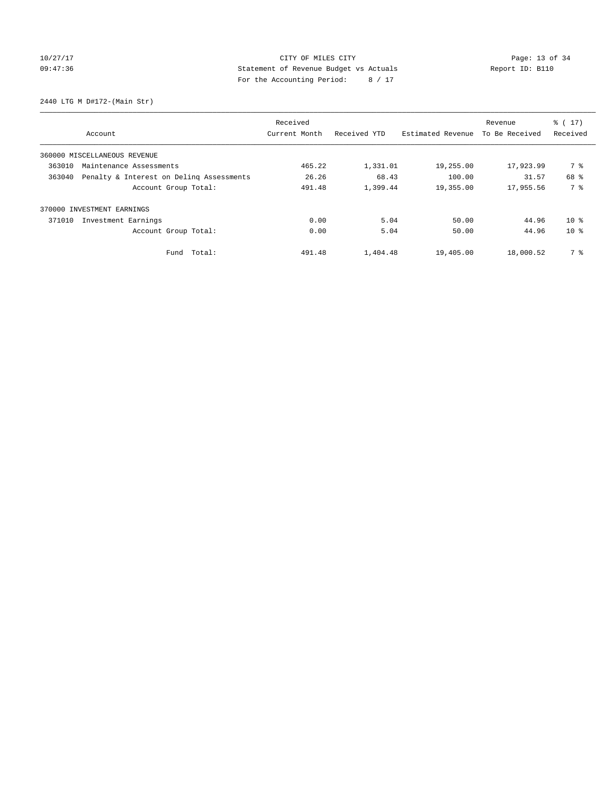# 10/27/17 Page: 13 of 34 09:47:36 Statement of Revenue Budget vs Actuals Report ID: B110 For the Accounting Period: 8 / 17

2440 LTG M D#172-(Main Str)

|        |                                          | Received      |              |                   | Revenue        | $\frac{1}{6}$ ( 17 ) |
|--------|------------------------------------------|---------------|--------------|-------------------|----------------|----------------------|
|        | Account                                  | Current Month | Received YTD | Estimated Revenue | To Be Received | Received             |
|        | 360000 MISCELLANEOUS REVENUE             |               |              |                   |                |                      |
| 363010 | Maintenance Assessments                  | 465.22        | 1,331.01     | 19,255.00         | 17,923.99      | 7 %                  |
| 363040 | Penalty & Interest on Deling Assessments | 26.26         | 68.43        | 100.00            | 31.57          | 68 %                 |
|        | Account Group Total:                     | 491.48        | 1,399.44     | 19,355.00         | 17,955.56      | 7 %                  |
|        | 370000 INVESTMENT EARNINGS               |               |              |                   |                |                      |
| 371010 | Investment Earnings                      | 0.00          | 5.04         | 50.00             | 44.96          | $10*$                |
|        | Account Group Total:                     | 0.00          | 5.04         | 50.00             | 44.96          | $10*$                |
|        | Fund Total:                              | 491.48        | 1,404.48     | 19,405.00         | 18,000.52      | 7 %                  |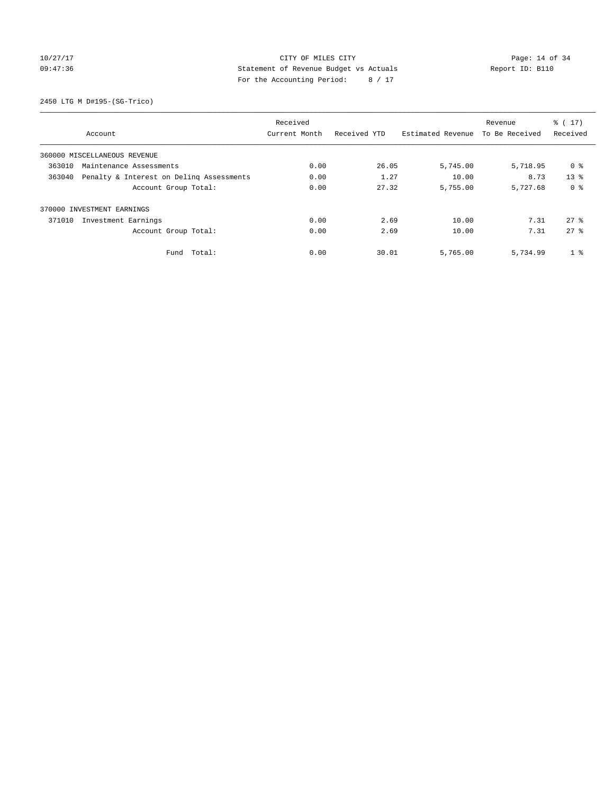## 10/27/17 Page: 14 of 34 09:47:36 Statement of Revenue Budget vs Actuals Report ID: B110 For the Accounting Period: 8 / 17

2450 LTG M D#195-(SG-Trico)

|        |                                          | Received      |              |                   | Revenue        | $\frac{1}{6}$ ( 17 ) |
|--------|------------------------------------------|---------------|--------------|-------------------|----------------|----------------------|
|        | Account                                  | Current Month | Received YTD | Estimated Revenue | To Be Received | Received             |
|        | 360000 MISCELLANEOUS REVENUE             |               |              |                   |                |                      |
| 363010 | Maintenance Assessments                  | 0.00          | 26.05        | 5,745.00          | 5,718.95       | 0 %                  |
| 363040 | Penalty & Interest on Deling Assessments | 0.00          | 1.27         | 10.00             | 8.73           | 13 <sup>8</sup>      |
|        | Account Group Total:                     | 0.00          | 27.32        | 5,755.00          | 5,727.68       | 0 <sup>8</sup>       |
|        | 370000 INVESTMENT EARNINGS               |               |              |                   |                |                      |
| 371010 | Investment Earnings                      | 0.00          | 2.69         | 10.00             | 7.31           | 278                  |
|        | Account Group Total:                     | 0.00          | 2.69         | 10.00             | 7.31           | 278                  |
|        | Total:<br>Fund                           | 0.00          | 30.01        | 5,765.00          | 5,734.99       | 1 <sup>°</sup>       |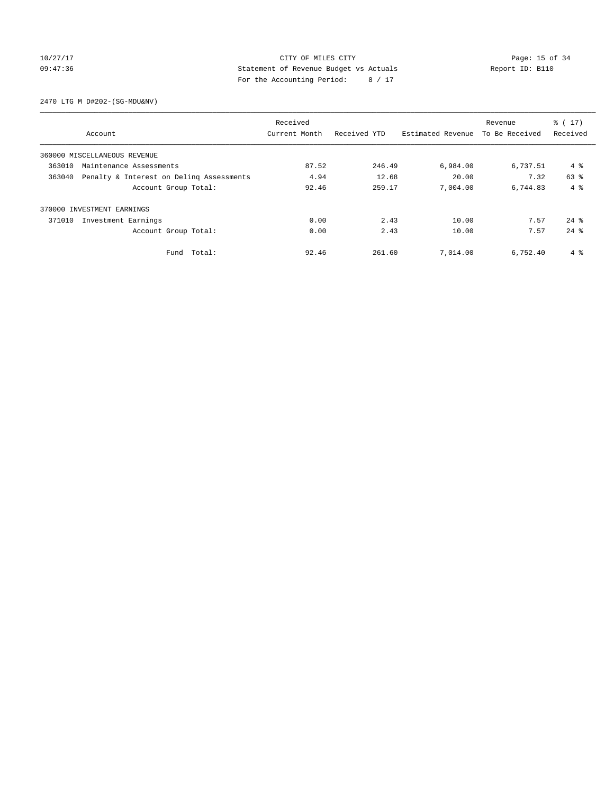## 10/27/17 Page: 15 of 34 09:47:36 Statement of Revenue Budget vs Actuals Report ID: B110 For the Accounting Period: 8 / 17

2470 LTG M D#202-(SG-MDU&NV)

|        |                                          | Received      |              |                   | Revenue        | $\frac{1}{6}$ ( 17 ) |
|--------|------------------------------------------|---------------|--------------|-------------------|----------------|----------------------|
|        | Account                                  | Current Month | Received YTD | Estimated Revenue | To Be Received | Received             |
|        | 360000 MISCELLANEOUS REVENUE             |               |              |                   |                |                      |
| 363010 | Maintenance Assessments                  | 87.52         | 246.49       | 6,984.00          | 6,737.51       | 4 %                  |
| 363040 | Penalty & Interest on Deling Assessments | 4.94          | 12.68        | 20.00             | 7.32           | 63 %                 |
|        | Account Group Total:                     | 92.46         | 259.17       | 7,004.00          | 6,744.83       | $4 \text{ }$         |
|        | 370000 INVESTMENT EARNINGS               |               |              |                   |                |                      |
| 371010 | Investment Earnings                      | 0.00          | 2.43         | 10.00             | 7.57           | $24$ $%$             |
|        | Account Group Total:                     | 0.00          | 2.43         | 10.00             | 7.57           | $24$ $%$             |
|        | Fund Total:                              | 92.46         | 261.60       | 7,014.00          | 6.752.40       | 4 %                  |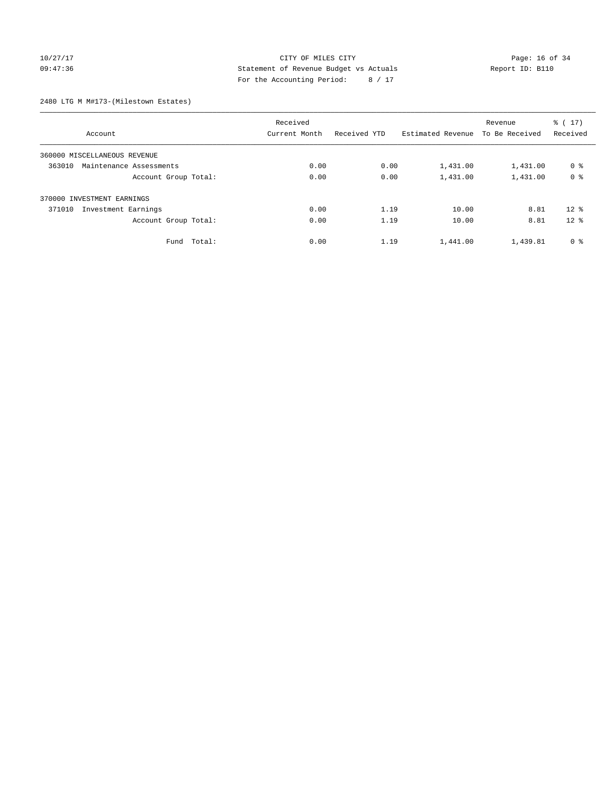## 10/27/17 Page: 16 of 34 09:47:36 Statement of Revenue Budget vs Actuals Report ID: B110 For the Accounting Period: 8 / 17

2480 LTG M M#173-(Milestown Estates)

|                                   | Received      |              |                   | Revenue        | $\frac{1}{6}$ ( 17 ) |
|-----------------------------------|---------------|--------------|-------------------|----------------|----------------------|
| Account                           | Current Month | Received YTD | Estimated Revenue | To Be Received | Received             |
| 360000 MISCELLANEOUS REVENUE      |               |              |                   |                |                      |
| 363010<br>Maintenance Assessments | 0.00          | 0.00         | 1,431.00          | 1,431.00       | 0 <sup>8</sup>       |
| Account Group Total:              | 0.00          | 0.00         | 1,431.00          | 1,431.00       | 0 <sup>8</sup>       |
| 370000 INVESTMENT EARNINGS        |               |              |                   |                |                      |
| 371010<br>Investment Earnings     | 0.00          | 1.19         | 10.00             | 8.81           | $12*$                |
| Account Group Total:              | 0.00          | 1.19         | 10.00             | 8.81           | 12 <sup>8</sup>      |
| Fund Total:                       | 0.00          | 1.19         | 1,441.00          | 1,439.81       | 0 <sup>8</sup>       |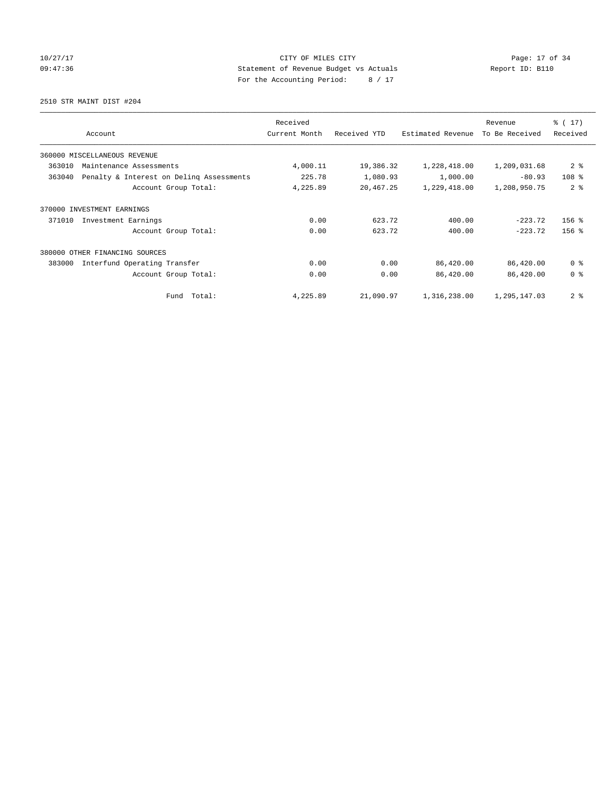10/27/17 Page: 17 of 34 09:47:36 Statement of Revenue Budget vs Actuals Report ID: B110 For the Accounting Period: 8 / 17

2510 STR MAINT DIST #204

|        | Account                                  | Received<br>Current Month | Received YTD | Estimated Revenue | Revenue<br>To Be Received | $\frac{1}{6}$ (17)<br>Received |
|--------|------------------------------------------|---------------------------|--------------|-------------------|---------------------------|--------------------------------|
|        | 360000 MISCELLANEOUS REVENUE             |                           |              |                   |                           |                                |
| 363010 | Maintenance Assessments                  | 4,000.11                  | 19,386.32    | 1,228,418.00      | 1,209,031.68              | 2 <sub>8</sub>                 |
| 363040 | Penalty & Interest on Deling Assessments | 225.78                    | 1,080.93     | 1,000.00          | $-80.93$                  | 108 <sup>8</sup>               |
|        | Account Group Total:                     | 4,225.89                  | 20,467.25    | 1,229,418.00      | 1,208,950.75              | 2 <sup>8</sup>                 |
| 370000 | INVESTMENT EARNINGS                      |                           |              |                   |                           |                                |
| 371010 | Investment Earnings                      | 0.00                      | 623.72       | 400.00            | $-223.72$                 | $156$ %                        |
|        | Account Group Total:                     | 0.00                      | 623.72       | 400.00            | $-223.72$                 | $156$ %                        |
|        | 380000 OTHER FINANCING SOURCES           |                           |              |                   |                           |                                |
| 383000 | Interfund Operating Transfer             | 0.00                      | 0.00         | 86,420.00         | 86,420.00                 | 0 <sup>8</sup>                 |
|        | Account Group Total:                     | 0.00                      | 0.00         | 86,420.00         | 86,420.00                 | 0 <sup>8</sup>                 |
|        | Fund Total:                              | 4,225.89                  | 21,090.97    | 1,316,238.00      | 1,295,147.03              | 2 <sub>8</sub>                 |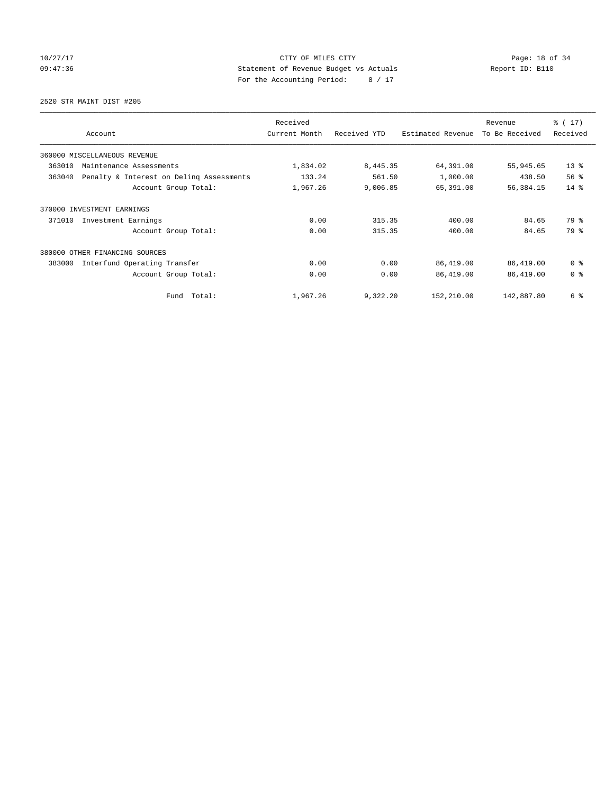## 10/27/17 Page: 18 of 34 09:47:36 Statement of Revenue Budget vs Actuals Report ID: B110 For the Accounting Period: 8 / 17

2520 STR MAINT DIST #205

| Account                                            | Received<br>Current Month | Received YTD | Estimated Revenue | Revenue<br>To Be Received | $\frac{1}{2}$ (17)<br>Received |
|----------------------------------------------------|---------------------------|--------------|-------------------|---------------------------|--------------------------------|
|                                                    |                           |              |                   |                           |                                |
| 360000 MISCELLANEOUS REVENUE                       |                           |              |                   |                           |                                |
| 363010<br>Maintenance Assessments                  | 1,834.02                  | 8,445.35     | 64,391.00         | 55,945.65                 | $13*$                          |
| 363040<br>Penalty & Interest on Deling Assessments | 133.24                    | 561.50       | 1,000.00          | 438.50                    | 56%                            |
| Account Group Total:                               | 1,967.26                  | 9,006.85     | 65,391.00         | 56,384.15                 | 14.8                           |
| 370000<br>INVESTMENT EARNINGS                      |                           |              |                   |                           |                                |
| 371010<br>Investment Earnings                      | 0.00                      | 315.35       | 400.00            | 84.65                     | 79 %                           |
| Account Group Total:                               | 0.00                      | 315.35       | 400.00            | 84.65                     | 79 %                           |
| 380000 OTHER FINANCING SOURCES                     |                           |              |                   |                           |                                |
| 383000<br>Interfund Operating Transfer             | 0.00                      | 0.00         | 86,419.00         | 86,419.00                 | 0 <sup>8</sup>                 |
| Account Group Total:                               | 0.00                      | 0.00         | 86,419.00         | 86,419.00                 | 0 <sup>8</sup>                 |
| Fund Total:                                        | 1,967.26                  | 9,322.20     | 152,210.00        | 142,887.80                | 6 %                            |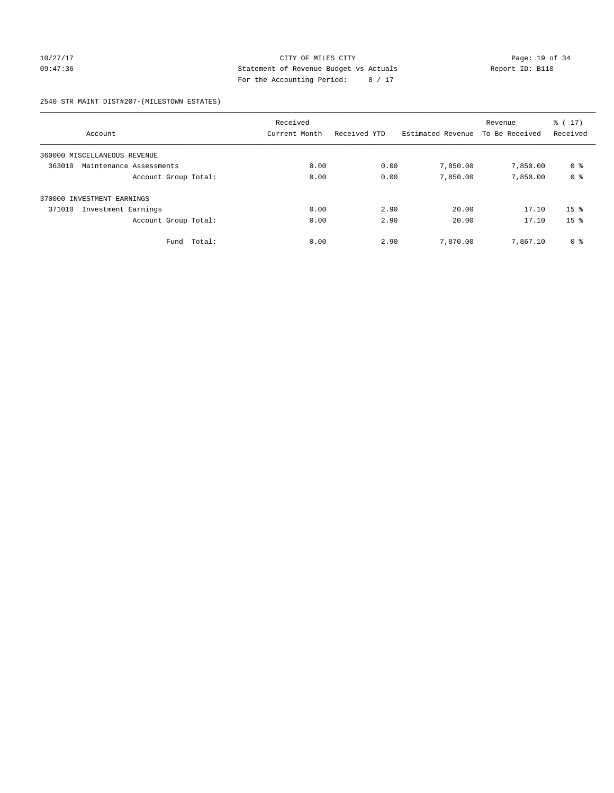## 10/27/17 Page: 19 of 34 09:47:36 Statement of Revenue Budget vs Actuals Report ID: B110 For the Accounting Period: 8 / 17

### 2540 STR MAINT DIST#207-(MILESTOWN ESTATES)

| Account                           | Received<br>Current Month | Received YTD | Estimated Revenue | Revenue<br>To Be Received | $\frac{1}{6}$ (17)<br>Received |
|-----------------------------------|---------------------------|--------------|-------------------|---------------------------|--------------------------------|
| 360000 MISCELLANEOUS REVENUE      |                           |              |                   |                           |                                |
| 363010<br>Maintenance Assessments | 0.00                      | 0.00         | 7,850.00          | 7,850.00                  | 0 %                            |
| Account Group Total:              | 0.00                      | 0.00         | 7,850.00          | 7,850.00                  | 0 <sup>8</sup>                 |
| 370000 INVESTMENT EARNINGS        |                           |              |                   |                           |                                |
| 371010<br>Investment Earnings     | 0.00                      | 2.90         | 20.00             | 17.10                     | $15*$                          |
| Account Group Total:              | 0.00                      | 2.90         | 20.00             | 17.10                     | 15 <sup>8</sup>                |
| Total:<br>Fund                    | 0.00                      | 2.90         | 7,870.00          | 7,867.10                  | 0 <sup>8</sup>                 |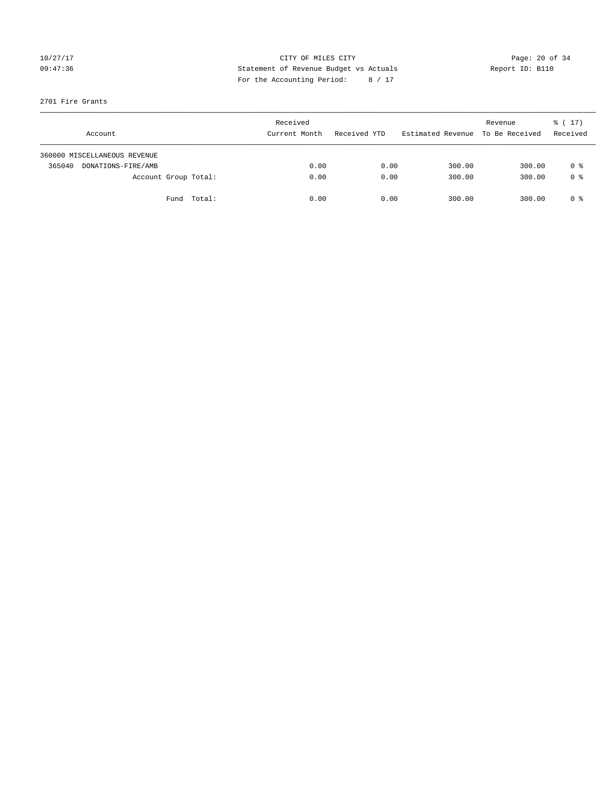## 10/27/17 Page: 20 of 34 09:47:36 Statement of Revenue Budget vs Actuals Report ID: B110 For the Accounting Period: 8 / 17

### 2701 Fire Grants

| Account                      |                      | Received<br>Current Month | Received YTD | Estimated Revenue | Revenue<br>To Be Received | $\frac{1}{6}$ ( 17 )<br>Received |
|------------------------------|----------------------|---------------------------|--------------|-------------------|---------------------------|----------------------------------|
| 360000 MISCELLANEOUS REVENUE |                      |                           |              |                   |                           |                                  |
| 365040<br>DONATIONS-FIRE/AMB |                      | 0.00                      | 0.00         | 300.00            | 300.00                    | 0 %                              |
|                              | Account Group Total: | 0.00                      | 0.00         | 300.00            | 300.00                    | 0 %                              |
|                              | Fund Total:          | 0.00                      | 0.00         | 300.00            | 300.00                    | 0 %                              |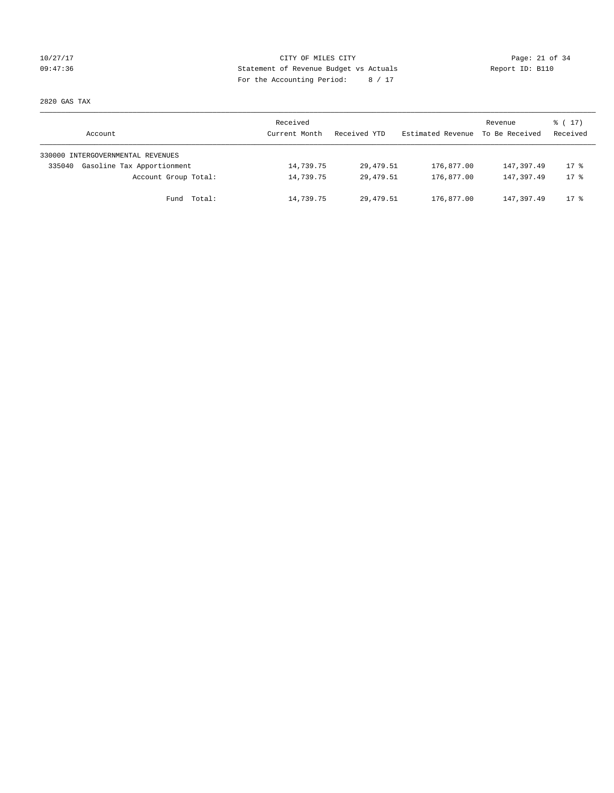## 10/27/17 Page: 21 of 34 09:47:36 Statement of Revenue Budget vs Actuals Report ID: B110 For the Accounting Period: 8 / 17

2820 GAS TAX

| Account                              | Received<br>Current Month | Received YTD | Estimated Revenue | Revenue<br>To Be Received | $\frac{1}{6}$ ( 17 )<br>Received |
|--------------------------------------|---------------------------|--------------|-------------------|---------------------------|----------------------------------|
| 330000 INTERGOVERNMENTAL REVENUES    |                           |              |                   |                           |                                  |
| Gasoline Tax Apportionment<br>335040 | 14,739.75                 | 29,479.51    | 176,877.00        | 147,397.49                | $17$ %                           |
| Account Group Total:                 | 14,739.75                 | 29,479.51    | 176,877.00        | 147, 397, 49              | $17*$                            |
| Fund Total:                          | 14,739.75                 | 29,479.51    | 176,877.00        | 147, 397.49               | $17$ %                           |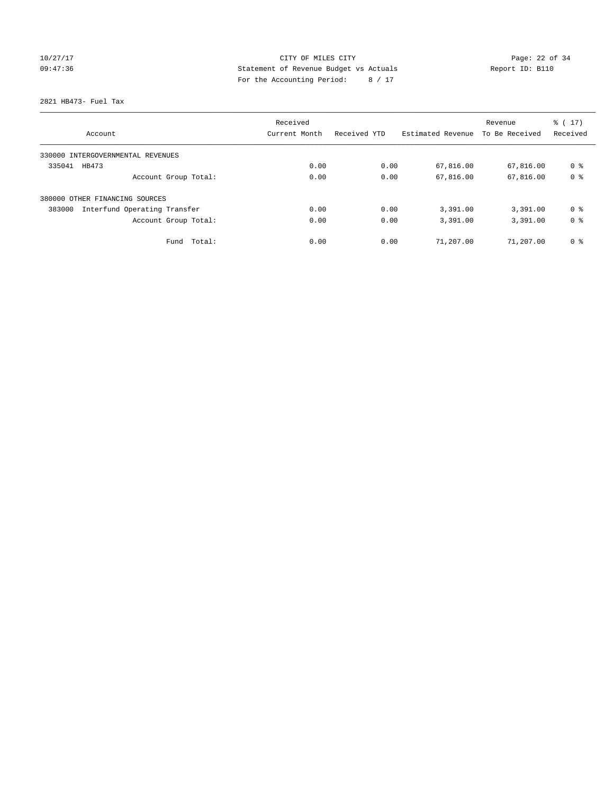## 10/27/17 Page: 22 of 34 09:47:36 Statement of Revenue Budget vs Actuals Report ID: B110 For the Accounting Period: 8 / 17

### 2821 HB473- Fuel Tax

|                                        | Received      |              |                   | Revenue        | $\frac{1}{6}$ (17) |
|----------------------------------------|---------------|--------------|-------------------|----------------|--------------------|
| Account                                | Current Month | Received YTD | Estimated Revenue | To Be Received | Received           |
| 330000 INTERGOVERNMENTAL REVENUES      |               |              |                   |                |                    |
| 335041<br>HB473                        | 0.00          | 0.00         | 67,816.00         | 67,816.00      | 0 <sup>8</sup>     |
| Account Group Total:                   | 0.00          | 0.00         | 67,816.00         | 67,816.00      | 0 <sup>8</sup>     |
| OTHER FINANCING SOURCES<br>380000      |               |              |                   |                |                    |
| Interfund Operating Transfer<br>383000 | 0.00          | 0.00         | 3,391.00          | 3,391.00       | 0 <sup>8</sup>     |
| Account Group Total:                   | 0.00          | 0.00         | 3,391.00          | 3,391.00       | 0 <sup>8</sup>     |
| Total:<br>Fund                         | 0.00          | 0.00         | 71,207.00         | 71,207.00      | 0 %                |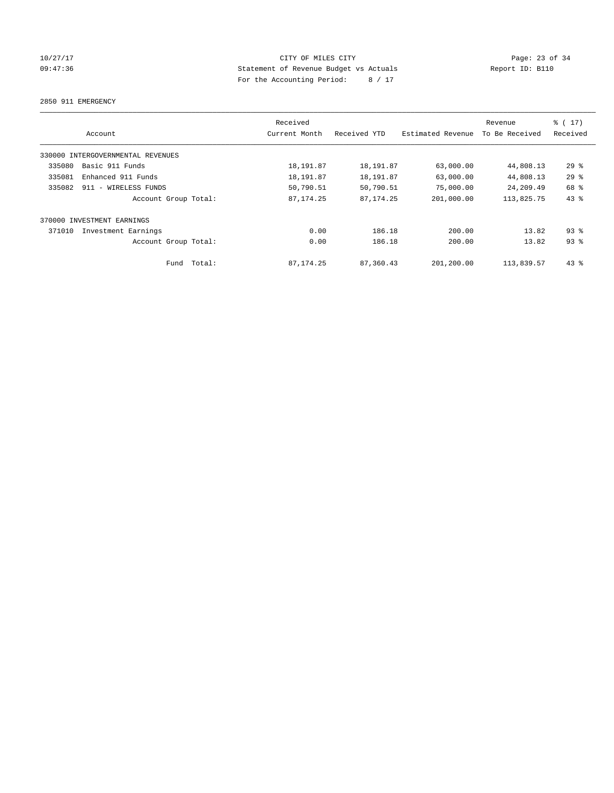## 10/27/17 Page: 23 of 34 09:47:36 Statement of Revenue Budget vs Actuals Report ID: B110 For the Accounting Period: 8 / 17

2850 911 EMERGENCY

| Account                           |                      | Received<br>Current Month | Received YTD | Estimated Revenue | Revenue<br>To Be Received | % (17)<br>Received |
|-----------------------------------|----------------------|---------------------------|--------------|-------------------|---------------------------|--------------------|
|                                   |                      |                           |              |                   |                           |                    |
| 330000 INTERGOVERNMENTAL REVENUES |                      |                           |              |                   |                           |                    |
| 335080<br>Basic 911 Funds         |                      | 18, 191.87                | 18,191.87    | 63,000.00         | 44,808.13                 | 29%                |
| 335081                            | Enhanced 911 Funds   | 18, 191.87                | 18,191.87    | 63,000.00         | 44,808.13                 | 29%                |
| 335082                            | 911 - WIRELESS FUNDS | 50,790.51                 | 50,790.51    | 75,000.00         | 24,209.49                 | 68 %               |
|                                   | Account Group Total: | 87, 174.25                | 87, 174. 25  | 201,000.00        | 113,825.75                | 43%                |
| INVESTMENT EARNINGS<br>370000     |                      |                           |              |                   |                           |                    |
| 371010                            | Investment Earnings  | 0.00                      | 186.18       | 200.00            | 13.82                     | 93%                |
|                                   | Account Group Total: | 0.00                      | 186.18       | 200.00            | 13.82                     | $93$ $%$           |
|                                   | Total:<br>Fund       | 87, 174.25                | 87,360.43    | 201,200.00        | 113,839.57                | $43*$              |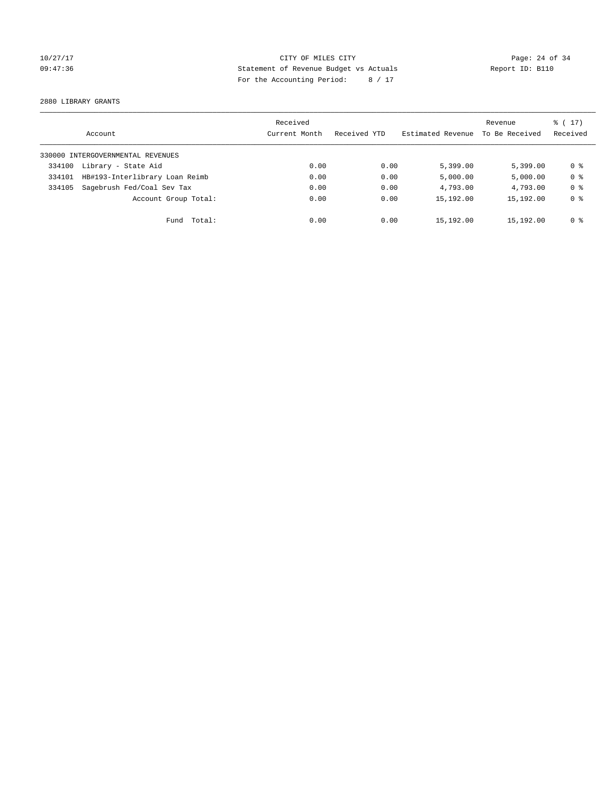## 10/27/17 Page: 24 of 34 09:47:36 Statement of Revenue Budget vs Actuals Report ID: B110 For the Accounting Period: 8 / 17

2880 LIBRARY GRANTS

|        | Account                           | Received<br>Current Month | Received YTD | Estimated Revenue | Revenue<br>To Be Received | $\frac{1}{6}$ (17)<br>Received |
|--------|-----------------------------------|---------------------------|--------------|-------------------|---------------------------|--------------------------------|
|        | 330000 INTERGOVERNMENTAL REVENUES |                           |              |                   |                           |                                |
| 334100 | Library - State Aid               | 0.00                      | 0.00         | 5,399.00          | 5.399.00                  | 0 ક                            |
| 334101 | HB#193-Interlibrary Loan Reimb    | 0.00                      | 0.00         | 5,000.00          | 5,000.00                  | 0 <sup>8</sup>                 |
| 334105 | Sagebrush Fed/Coal Sev Tax        | 0.00                      | 0.00         | 4,793.00          | 4,793.00                  | 0 <sup>8</sup>                 |
|        | Account Group Total:              | 0.00                      | 0.00         | 15,192.00         | 15,192.00                 | 0 <sup>8</sup>                 |
|        | Fund Total:                       | 0.00                      | 0.00         | 15,192.00         | 15,192.00                 | 0 %                            |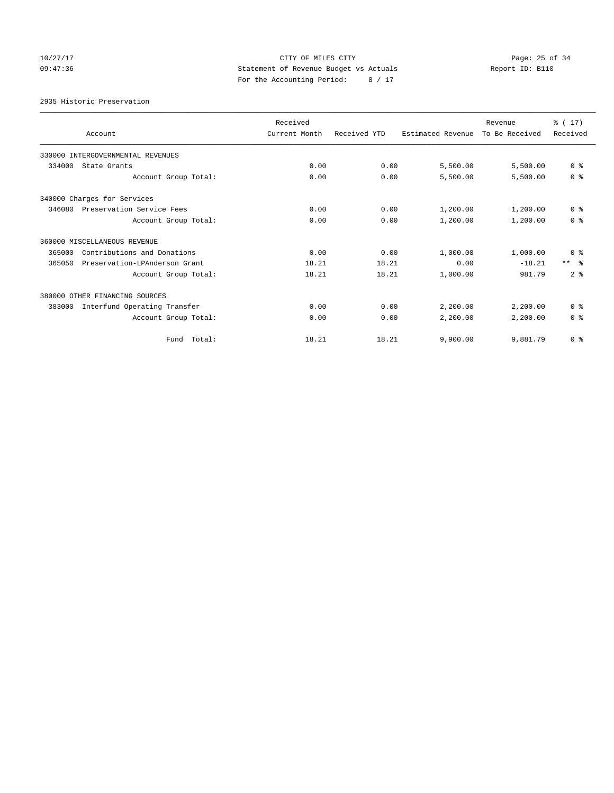## 10/27/17 Page: 25 of 34 09:47:36 Statement of Revenue Budget vs Actuals Report ID: B110 For the Accounting Period: 8 / 17

2935 Historic Preservation

| Account                        |                                   | Received<br>Current Month | Received YTD | Estimated Revenue | Revenue<br>To Be Received | % (17)<br>Received |
|--------------------------------|-----------------------------------|---------------------------|--------------|-------------------|---------------------------|--------------------|
|                                |                                   |                           |              |                   |                           |                    |
|                                | 330000 INTERGOVERNMENTAL REVENUES |                           |              |                   |                           |                    |
| 334000<br>State Grants         |                                   | 0.00                      | 0.00         | 5,500.00          | 5,500.00                  | 0 <sup>8</sup>     |
|                                | Account Group Total:              | 0.00                      | 0.00         | 5,500.00          | 5,500.00                  | 0 <sup>8</sup>     |
| 340000 Charges for Services    |                                   |                           |              |                   |                           |                    |
| 346080                         | Preservation Service Fees         | 0.00                      | 0.00         | 1,200.00          | 1,200.00                  | 0 <sup>8</sup>     |
|                                | Account Group Total:              | 0.00                      | 0.00         | 1,200.00          | 1,200.00                  | 0 <sup>8</sup>     |
| 360000 MISCELLANEOUS REVENUE   |                                   |                           |              |                   |                           |                    |
| 365000                         | Contributions and Donations       | 0.00                      | 0.00         | 1,000.00          | 1,000.00                  | 0 <sup>8</sup>     |
| 365050                         | Preservation-LPAnderson Grant     | 18.21                     | 18.21        | 0.00              | $-18.21$                  | $***$ $=$          |
|                                | Account Group Total:              | 18.21                     | 18.21        | 1,000.00          | 981.79                    | 2 <sup>8</sup>     |
| 380000 OTHER FINANCING SOURCES |                                   |                           |              |                   |                           |                    |
| 383000                         | Interfund Operating Transfer      | 0.00                      | 0.00         | 2,200.00          | 2,200.00                  | 0 <sup>8</sup>     |
|                                | Account Group Total:              | 0.00                      | 0.00         | 2,200.00          | 2,200.00                  | 0 <sup>8</sup>     |
|                                | Fund Total:                       | 18.21                     | 18.21        | 9,900.00          | 9,881.79                  | 0 <sup>8</sup>     |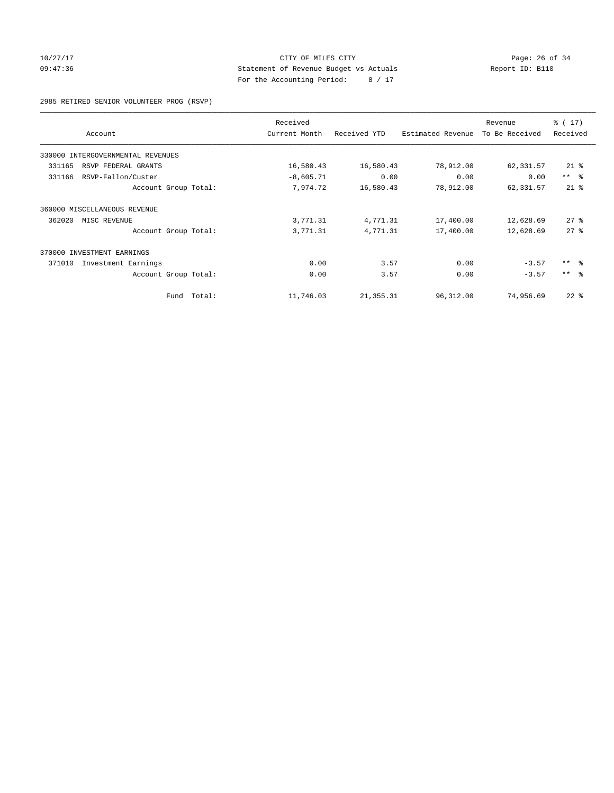## 10/27/17 Page: 26 of 34 09:47:36 Statement of Revenue Budget vs Actuals Report ID: B110 For the Accounting Period: 8 / 17

2985 RETIRED SENIOR VOLUNTEER PROG (RSVP)

| Account                           | Received<br>Current Month | Received YTD | Estimated Revenue | Revenue<br>To Be Received | $\frac{1}{6}$ (17)<br>Received |
|-----------------------------------|---------------------------|--------------|-------------------|---------------------------|--------------------------------|
| 330000 INTERGOVERNMENTAL REVENUES |                           |              |                   |                           |                                |
| 331165<br>RSVP FEDERAL GRANTS     | 16,580.43                 | 16,580.43    | 78,912.00         | 62,331.57                 | $21$ %                         |
| RSVP-Fallon/Custer<br>331166      | $-8,605.71$               | 0.00         | 0.00              | 0.00                      | $***$ $ -$                     |
| Account Group Total:              | 7,974.72                  | 16,580.43    | 78,912.00         | 62,331.57                 | $21$ %                         |
| 360000 MISCELLANEOUS REVENUE      |                           |              |                   |                           |                                |
| 362020<br>MISC REVENUE            | 3,771.31                  | 4,771.31     | 17,400.00         | 12,628.69                 | $27*$                          |
| Account Group Total:              | 3,771.31                  | 4,771.31     | 17,400.00         | 12,628.69                 | $27$ $%$                       |
| 370000 INVESTMENT EARNINGS        |                           |              |                   |                           |                                |
| 371010<br>Investment Earnings     | 0.00                      | 3.57         | 0.00              | $-3.57$                   | $***$ $ -$                     |
| Account Group Total:              | 0.00                      | 3.57         | 0.00              | $-3.57$                   | $***$ $ -$                     |
| Fund                              | Total:<br>11,746.03       | 21, 355.31   | 96,312.00         | 74,956.69                 | $22$ %                         |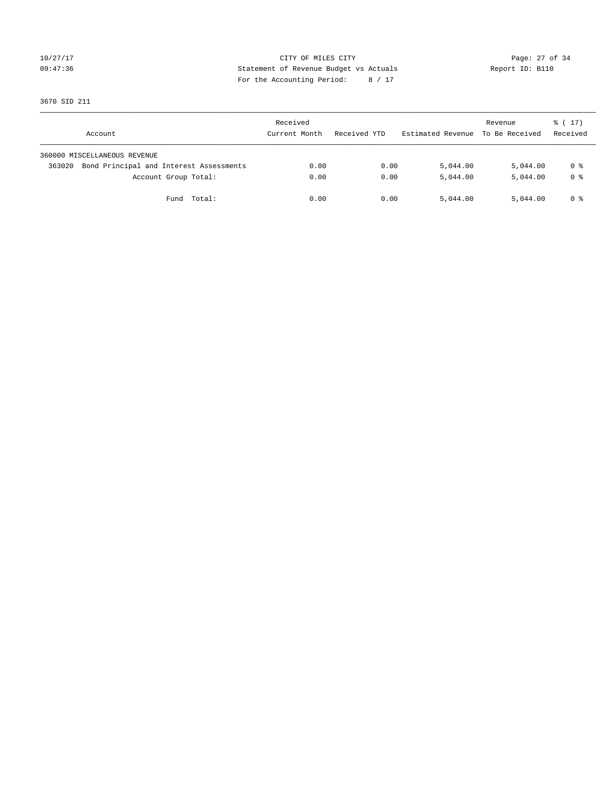## 10/27/17 Page: 27 of 34 09:47:36 Statement of Revenue Budget vs Actuals Report ID: B110 For the Accounting Period: 8 / 17

3670 SID 211

| Account                                           | Received<br>Current Month | Received YTD | Estimated Revenue | Revenue<br>To Be Received | $\frac{1}{6}$ ( 17 )<br>Received |
|---------------------------------------------------|---------------------------|--------------|-------------------|---------------------------|----------------------------------|
| 360000 MISCELLANEOUS REVENUE                      |                           |              |                   |                           |                                  |
| Bond Principal and Interest Assessments<br>363020 | 0.00                      | 0.00         | 5,044.00          | 5,044.00                  | 0 %                              |
| Account Group Total:                              | 0.00                      | 0.00         | 5,044.00          | 5,044.00                  | 0 <sup>8</sup>                   |
| Total:<br>Fund                                    | 0.00                      | 0.00         | 5,044.00          | 5,044.00                  | 0 %                              |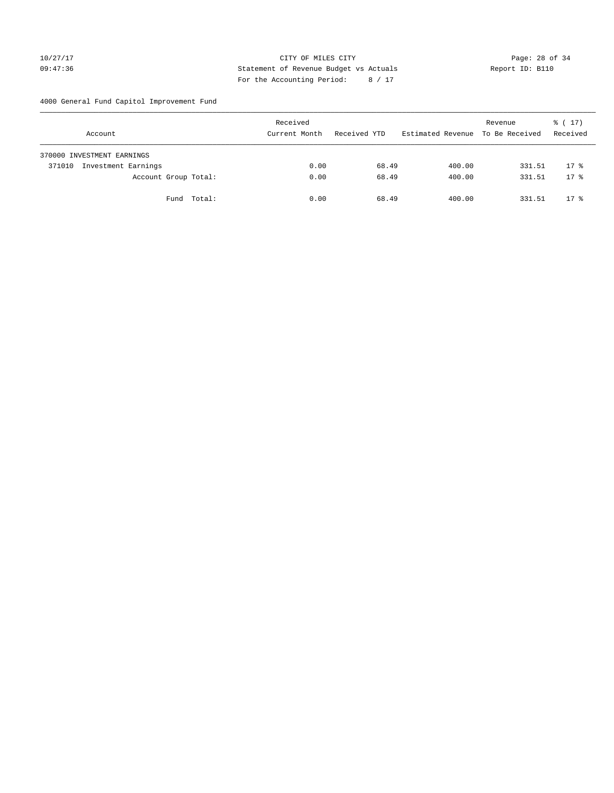## 10/27/17 Page: 28 of 34 09:47:36 Statement of Revenue Budget vs Actuals Report ID: B110 For the Accounting Period: 8 / 17

4000 General Fund Capitol Improvement Fund

| Account                       | Received<br>Current Month | Received YTD | Estimated Revenue | Revenue<br>To Be Received | $\frac{1}{6}$ ( 17 )<br>Received |
|-------------------------------|---------------------------|--------------|-------------------|---------------------------|----------------------------------|
| 370000 INVESTMENT EARNINGS    |                           |              |                   |                           |                                  |
| Investment Earnings<br>371010 | 0.00                      | 68.49        | 400.00            | 331.51                    | $17*$                            |
| Account Group Total:          | 0.00                      | 68.49        | 400.00            | 331.51                    | $17*$                            |
| Fund Total:                   | 0.00                      | 68.49        | 400.00            | 331.51                    | $17*$                            |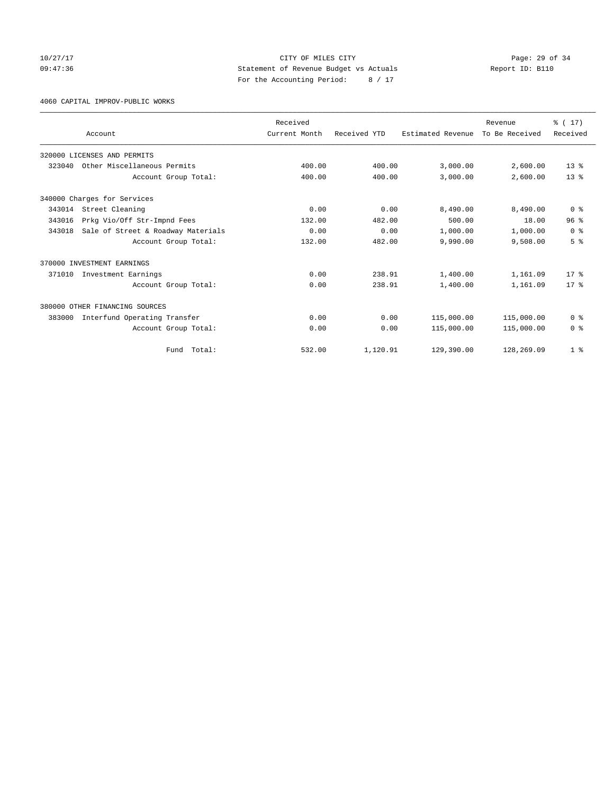10/27/17 Page: 29 of 34 09:47:36 Statement of Revenue Budget vs Actuals Report ID: B110 For the Accounting Period: 8 / 17

4060 CAPITAL IMPROV-PUBLIC WORKS

|        |                                    | Received      |              |                   | Revenue        | % (17)          |
|--------|------------------------------------|---------------|--------------|-------------------|----------------|-----------------|
|        | Account                            | Current Month | Received YTD | Estimated Revenue | To Be Received | Received        |
|        | 320000 LICENSES AND PERMITS        |               |              |                   |                |                 |
| 323040 | Other Miscellaneous Permits        | 400.00        | 400.00       | 3,000.00          | 2,600.00       | $13*$           |
|        | Account Group Total:               | 400.00        | 400.00       | 3,000.00          | 2,600.00       | 13 <sup>°</sup> |
|        | 340000 Charges for Services        |               |              |                   |                |                 |
| 343014 | Street Cleaning                    | 0.00          | 0.00         | 8,490.00          | 8,490.00       | 0 <sup>8</sup>  |
| 343016 | Prkg Vio/Off Str-Impnd Fees        | 132.00        | 482.00       | 500.00            | 18.00          | 96 <sup>8</sup> |
| 343018 | Sale of Street & Roadway Materials | 0.00          | 0.00         | 1,000.00          | 1,000.00       | 0 <sup>8</sup>  |
|        | Account Group Total:               | 132.00        | 482.00       | 9,990.00          | 9,508.00       | 5 <sup>8</sup>  |
|        | 370000 INVESTMENT EARNINGS         |               |              |                   |                |                 |
| 371010 | Investment Earnings                | 0.00          | 238.91       | 1,400.00          | 1,161.09       | $17*$           |
|        | Account Group Total:               | 0.00          | 238.91       | 1,400.00          | 1,161.09       | $17*$           |
|        | 380000 OTHER FINANCING SOURCES     |               |              |                   |                |                 |
| 383000 | Interfund Operating Transfer       | 0.00          | 0.00         | 115,000.00        | 115,000.00     | 0 <sup>8</sup>  |
|        | Account Group Total:               | 0.00          | 0.00         | 115,000.00        | 115,000.00     | 0 <sup>8</sup>  |
|        | Total:<br>Fund                     | 532.00        | 1,120.91     | 129,390.00        | 128,269.09     | 1 <sup>8</sup>  |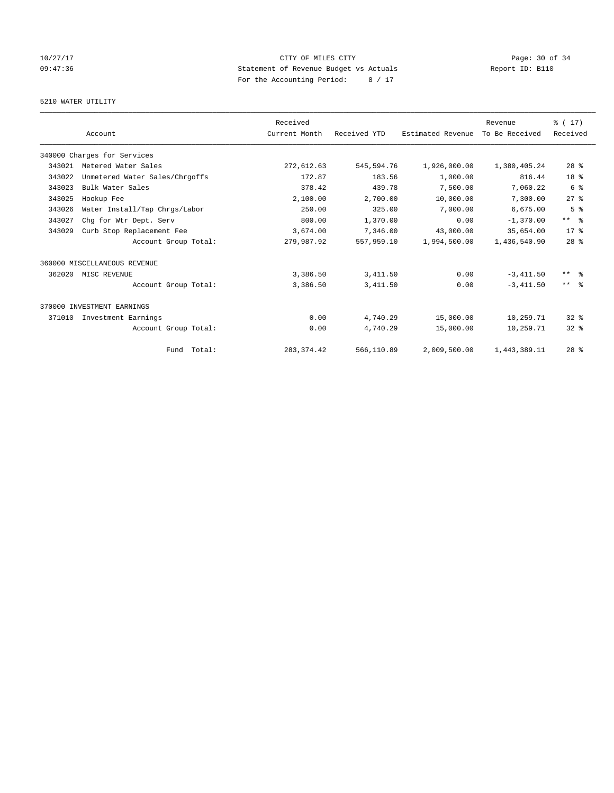## 10/27/17 Page: 30 of 34 09:47:36 Statement of Revenue Budget vs Actuals Report ID: B110 For the Accounting Period: 8 / 17

# 5210 WATER UTILITY

|        |                                | Received      |              |                   | Revenue        | % (17)              |
|--------|--------------------------------|---------------|--------------|-------------------|----------------|---------------------|
|        | Account                        | Current Month | Received YTD | Estimated Revenue | To Be Received | Received            |
|        | 340000 Charges for Services    |               |              |                   |                |                     |
| 343021 | Metered Water Sales            | 272,612.63    | 545,594.76   | 1,926,000.00      | 1,380,405.24   | $28$ %              |
| 343022 | Unmetered Water Sales/Chrgoffs | 172.87        | 183.56       | 1,000.00          | 816.44         | 18 <sup>8</sup>     |
| 343023 | Bulk Water Sales               | 378.42        | 439.78       | 7,500.00          | 7,060.22       | 6 <sup>°</sup>      |
| 343025 | Hookup Fee                     | 2,100.00      | 2,700.00     | 10,000.00         | 7,300.00       | 27%                 |
| 343026 | Water Install/Tap Chrgs/Labor  | 250.00        | 325.00       | 7,000.00          | 6,675.00       | 5 <sup>8</sup>      |
| 343027 | Chg for Wtr Dept. Serv         | 800.00        | 1,370.00     | 0.00              | $-1,370.00$    | ** %                |
| 343029 | Curb Stop Replacement Fee      | 3,674.00      | 7,346.00     | 43,000.00         | 35,654.00      | $17*$               |
|        | Account Group Total:           | 279,987.92    | 557,959.10   | 1,994,500.00      | 1,436,540.90   | 28 <sup>8</sup>     |
|        | 360000 MISCELLANEOUS REVENUE   |               |              |                   |                |                     |
| 362020 | MISC REVENUE                   | 3,386.50      | 3, 411.50    | 0.00              | $-3,411.50$    | $***$ $\frac{6}{5}$ |
|        | Account Group Total:           | 3,386.50      | 3, 411.50    | 0.00              | $-3,411.50$    | $***$ $ -$          |
|        | 370000 INVESTMENT EARNINGS     |               |              |                   |                |                     |
| 371010 | Investment Earnings            | 0.00          | 4,740.29     | 15,000.00         | 10,259.71      | $32*$               |
|        | Account Group Total:           | 0.00          | 4,740.29     | 15,000.00         | 10,259.71      | $32*$               |
|        | Fund Total:                    | 283, 374.42   | 566,110.89   | 2,009,500.00      | 1,443,389.11   | $28$ %              |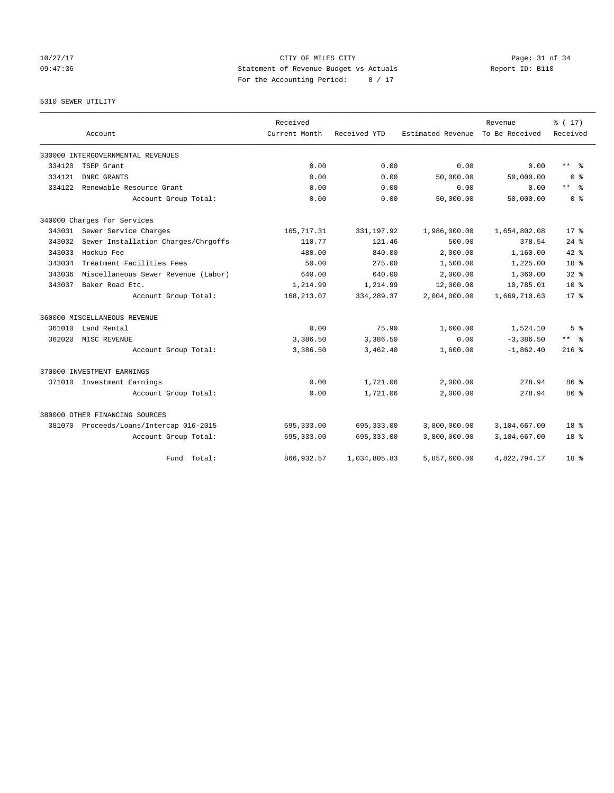10/27/17 Page: 31 of 34 09:47:36 Statement of Revenue Budget vs Actuals Report ID: B110 For the Accounting Period: 8 / 17

5310 SEWER UTILITY

|        |                                         | Received      |              |                   | Revenue        | % (17)                  |
|--------|-----------------------------------------|---------------|--------------|-------------------|----------------|-------------------------|
|        | Account                                 | Current Month | Received YTD | Estimated Revenue | To Be Received | Received                |
|        | 330000 INTERGOVERNMENTAL REVENUES       |               |              |                   |                |                         |
| 334120 | TSEP Grant                              | 0.00          | 0.00         | 0.00              | 0.00           | $***$ $=$ $\frac{6}{5}$ |
| 334121 | DNRC GRANTS                             | 0.00          | 0.00         | 50,000.00         | 50,000.00      | 0 <sup>8</sup>          |
| 334122 | Renewable Resource Grant                | 0.00          | 0.00         | 0.00              | 0.00           | $***$ $=$ $\frac{6}{5}$ |
|        | Account Group Total:                    | 0.00          | 0.00         | 50,000.00         | 50,000.00      | 0 <sup>8</sup>          |
|        | 340000 Charges for Services             |               |              |                   |                |                         |
| 343031 | Sewer Service Charges                   | 165,717.31    | 331, 197.92  | 1,986,000.00      | 1,654,802.08   | $17*$                   |
| 343032 | Sewer Installation Charges/Chrgoffs     | 110.77        | 121.46       | 500.00            | 378.54         | $24$ %                  |
| 343033 | Hookup Fee                              | 480.00        | 840.00       | 2,000.00          | 1,160.00       | $42*$                   |
| 343034 | Treatment Facilities Fees               | 50.00         | 275.00       | 1,500.00          | 1,225.00       | $18*$                   |
| 343036 | Miscellaneous Sewer Revenue (Labor)     | 640.00        | 640.00       | 2,000.00          | 1,360.00       | $32*$                   |
| 343037 | Baker Road Etc.                         | 1,214.99      | 1,214.99     | 12,000.00         | 10,785.01      | $10*$                   |
|        | Account Group Total:                    | 168,213.07    | 334, 289.37  | 2,004,000.00      | 1,669,710.63   | $17*$                   |
|        | 360000 MISCELLANEOUS REVENUE            |               |              |                   |                |                         |
| 361010 | Land Rental                             | 0.00          | 75.90        | 1,600.00          | 1,524.10       | 5 <sup>8</sup>          |
| 362020 | MISC REVENUE                            | 3,386.50      | 3,386.50     | 0.00              | $-3,386.50$    | $***$ $=$ $\frac{6}{5}$ |
|        | Account Group Total:                    | 3,386.50      | 3,462.40     | 1,600.00          | $-1,862.40$    | $216$ %                 |
|        | 370000 INVESTMENT EARNINGS              |               |              |                   |                |                         |
|        | 371010 Investment Earnings              | 0.00          | 1,721.06     | 2,000.00          | 278.94         | 86 <sup>8</sup>         |
|        | Account Group Total:                    | 0.00          | 1,721.06     | 2,000.00          | 278.94         | 86 <sup>8</sup>         |
|        | 380000 OTHER FINANCING SOURCES          |               |              |                   |                |                         |
|        | 381070 Proceeds/Loans/Intercap 016-2015 | 695, 333.00   | 695, 333.00  | 3,800,000.00      | 3,104,667.00   | 18 <sup>8</sup>         |
|        | Account Group Total:                    | 695, 333.00   | 695, 333.00  | 3,800,000.00      | 3,104,667.00   | $18*$                   |
|        | Fund Total:                             | 866, 932.57   | 1,034,805.83 | 5,857,600.00      | 4,822,794.17   | 18 <sup>8</sup>         |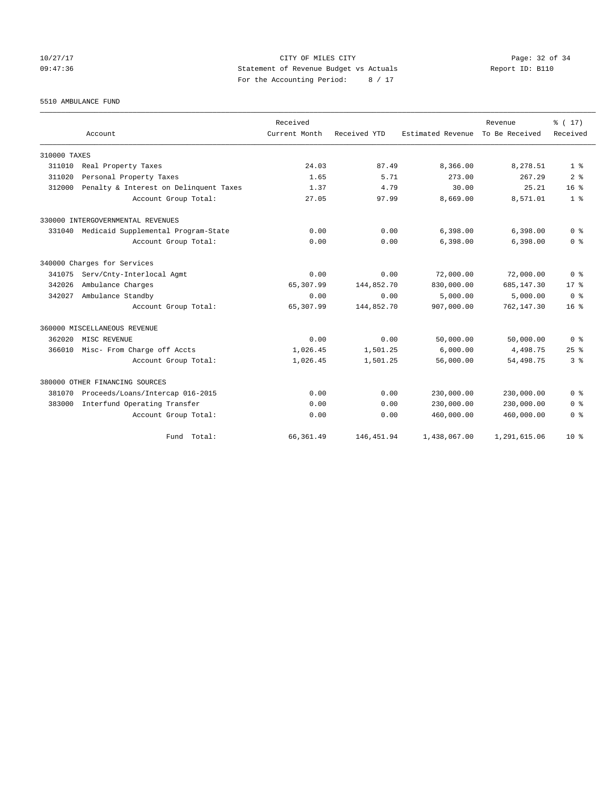10/27/17 Page: 32 of 34 09:47:36 Statement of Revenue Budget vs Actuals Report ID: B110 For the Accounting Period: 8 / 17

5510 AMBULANCE FUND

|              |                                            | Received      |              |                   | Revenue        | % (17)          |
|--------------|--------------------------------------------|---------------|--------------|-------------------|----------------|-----------------|
|              | Account                                    | Current Month | Received YTD | Estimated Revenue | To Be Received | Received        |
| 310000 TAXES |                                            |               |              |                   |                |                 |
| 311010       | Real Property Taxes                        | 24.03         | 87.49        | 8,366.00          | 8,278.51       | 1 <sup>8</sup>  |
| 311020       | Personal Property Taxes                    | 1.65          | 5.71         | 273.00            | 267.29         | 2 <sup>8</sup>  |
| 312000       | Penalty & Interest on Delinquent Taxes     | 1.37          | 4.79         | 30.00             | 25.21          | 16 <sup>8</sup> |
|              | Account Group Total:                       | 27.05         | 97.99        | 8,669.00          | 8,571.01       | 1 <sup>8</sup>  |
|              | 330000 INTERGOVERNMENTAL REVENUES          |               |              |                   |                |                 |
|              | 331040 Medicaid Supplemental Program-State | 0.00          | 0.00         | 6,398.00          | 6,398.00       | 0 <sup>8</sup>  |
|              | Account Group Total:                       | 0.00          | 0.00         | 6,398.00          | 6,398.00       | 0 <sup>8</sup>  |
|              | 340000 Charges for Services                |               |              |                   |                |                 |
| 341075       | Serv/Cnty-Interlocal Agmt                  | 0.00          | 0.00         | 72,000.00         | 72,000.00      | 0 <sup>8</sup>  |
| 342026       | Ambulance Charges                          | 65,307.99     | 144,852.70   | 830,000.00        | 685,147.30     | 17 <sup>8</sup> |
| 342027       | Ambulance Standby                          | 0.00          | 0.00         | 5,000.00          | 5,000.00       | 0 <sup>8</sup>  |
|              | Account Group Total:                       | 65,307.99     | 144,852.70   | 907,000.00        | 762,147.30     | 16 <sup>8</sup> |
|              | 360000 MISCELLANEOUS REVENUE               |               |              |                   |                |                 |
| 362020       | MISC REVENUE                               | 0.00          | 0.00         | 50,000.00         | 50,000.00      | 0 <sup>8</sup>  |
| 366010       | Misc- From Charge off Accts                | 1,026.45      | 1,501.25     | 6,000.00          | 4,498.75       | 25 <sup>8</sup> |
|              | Account Group Total:                       | 1,026.45      | 1,501.25     | 56,000.00         | 54, 498.75     | 3 <sup>8</sup>  |
|              | 380000 OTHER FINANCING SOURCES             |               |              |                   |                |                 |
| 381070       | Proceeds/Loans/Intercap 016-2015           | 0.00          | 0.00         | 230,000.00        | 230,000.00     | 0 <sup>8</sup>  |
| 383000       | Interfund Operating Transfer               | 0.00          | 0.00         | 230,000.00        | 230,000.00     | 0 <sup>8</sup>  |
|              | Account Group Total:                       | 0.00          | 0.00         | 460,000.00        | 460,000.00     | 0 <sup>8</sup>  |
|              | Fund Total:                                | 66, 361.49    | 146, 451.94  | 1,438,067.00      | 1,291,615.06   | $10*$           |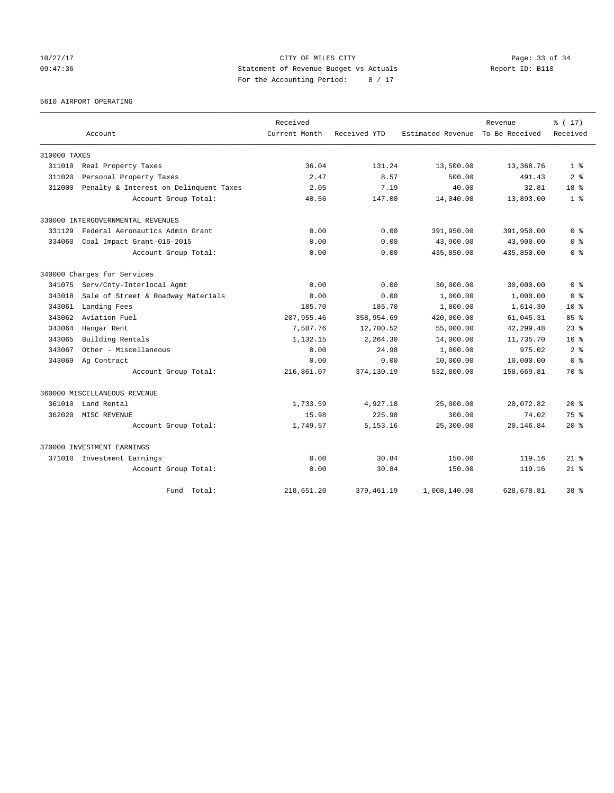10/27/17 Page: 33 of 34 09:47:36 Statement of Revenue Budget vs Actuals Report ID: B110 For the Accounting Period: 8 / 17

5610 AIRPORT OPERATING

|              | Account                                | Received<br>Current Month | Received YTD | Estimated Revenue | Revenue<br>To Be Received | % (17)<br>Received |
|--------------|----------------------------------------|---------------------------|--------------|-------------------|---------------------------|--------------------|
|              |                                        |                           |              |                   |                           |                    |
| 310000 TAXES |                                        |                           |              |                   |                           |                    |
| 311010       | Real Property Taxes                    | 36.04                     | 131.24       | 13,500.00         | 13,368.76                 | 1 <sup>8</sup>     |
| 311020       | Personal Property Taxes                | 2.47                      | 8.57         | 500.00            | 491.43                    | 2 <sup>8</sup>     |
| 312000       | Penalty & Interest on Delinquent Taxes | 2.05                      | 7.19         | 40.00             | 32.81                     | 18 <sup>8</sup>    |
|              | Account Group Total:                   | 40.56                     | 147.00       | 14,040.00         | 13,893.00                 | 1 <sup>8</sup>     |
|              | 330000 INTERGOVERNMENTAL REVENUES      |                           |              |                   |                           |                    |
| 331129       | Federal Aeronautics Admin Grant        | 0.00                      | 0.00         | 391,950.00        | 391,950.00                | 0 <sup>8</sup>     |
| 334060       | Coal Impact Grant-016-2015             | 0.00                      | 0.00         | 43,900.00         | 43,900.00                 | 0 <sup>8</sup>     |
|              | Account Group Total:                   | 0.00                      | 0.00         | 435,850.00        | 435,850.00                | 0 <sup>8</sup>     |
|              | 340000 Charges for Services            |                           |              |                   |                           |                    |
| 341075       | Serv/Cnty-Interlocal Agmt              | 0.00                      | 0.00         | 30,000.00         | 30,000.00                 | 0 <sup>8</sup>     |
| 343018       | Sale of Street & Roadway Materials     | 0.00                      | 0.00         | 1,000.00          | 1,000.00                  | 0 <sup>8</sup>     |
| 343061       | Landing Fees                           | 185.70                    | 185.70       | 1,800.00          | 1,614.30                  | $10*$              |
| 343062       | Aviation Fuel                          | 207,955.46                | 358,954.69   | 420,000.00        | 61,045.31                 | 85%                |
| 343064       | Hangar Rent                            | 7.587.76                  | 12,700.52    | 55,000.00         | 42,299.48                 | $23$ $%$           |
| 343065       | Building Rentals                       | 1,132.15                  | 2,264.30     | 14,000.00         | 11,735.70                 | 16 <sup>8</sup>    |
| 343067       | Other - Miscellaneous                  | 0.00                      | 24.98        | 1,000.00          | 975.02                    | 2 <sup>8</sup>     |
| 343069       | Ag Contract                            | 0.00                      | 0.00         | 10,000.00         | 10,000.00                 | 0 <sup>8</sup>     |
|              | Account Group Total:                   | 216,861.07                | 374,130.19   | 532,800.00        | 158,669.81                | 70 %               |
|              | 360000 MISCELLANEOUS REVENUE           |                           |              |                   |                           |                    |
| 361010       | Land Rental                            | 1,733.59                  | 4,927.18     | 25,000.00         | 20,072.82                 | $20*$              |
| 362020       | MISC REVENUE                           | 15.98                     | 225.98       | 300.00            | 74.02                     | 75 %               |
|              | Account Group Total:                   | 1,749.57                  | 5, 153. 16   | 25,300.00         | 20,146.84                 | $20*$              |
|              | 370000 INVESTMENT EARNINGS             |                           |              |                   |                           |                    |
|              | 371010 Investment Earnings             | 0.00                      | 30.84        | 150.00            | 119.16                    | $21$ $%$           |
|              | Account Group Total:                   | 0.00                      | 30.84        | 150.00            | 119.16                    | $21*$              |
|              | Fund Total:                            | 218,651.20                | 379, 461.19  | 1,008,140.00      | 628,678.81                | 38 <sup>8</sup>    |